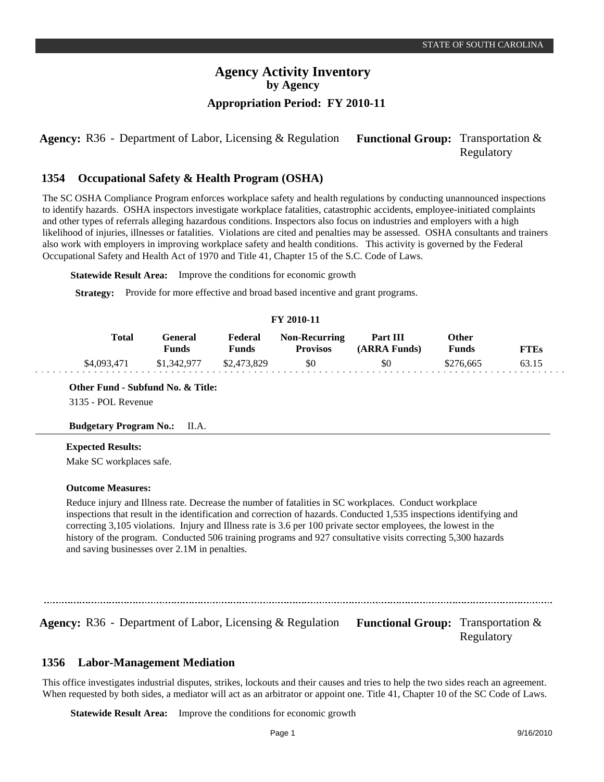**Agency:** R36 - Department of Labor, Licensing & Regulation Functional Group: Transportation & Regulatory

#### **Occupational Safety & Health Program (OSHA) 1354**

The SC OSHA Compliance Program enforces workplace safety and health regulations by conducting unannounced inspections to identify hazards. OSHA inspectors investigate workplace fatalities, catastrophic accidents, employee-initiated complaints and other types of referrals alleging hazardous conditions. Inspectors also focus on industries and employers with a high likelihood of injuries, illnesses or fatalities. Violations are cited and penalties may be assessed. OSHA consultants and trainers also work with employers in improving workplace safety and health conditions. This activity is governed by the Federal Occupational Safety and Health Act of 1970 and Title 41, Chapter 15 of the S.C. Code of Laws.

**Statewide Result Area:** Improve the conditions for economic growth

**Strategy:** Provide for more effective and broad based incentive and grant programs.

### **FY 2010-11**

| Total       | General<br>Funds | Federal<br>Funds | <b>Non-Recurring</b><br><b>Provisos</b> | Part III<br>(ARRA Funds) | Other<br><b>Funds</b> | TTEs |
|-------------|------------------|------------------|-----------------------------------------|--------------------------|-----------------------|------|
| \$4,093,471 | \$1,342,977      | \$2,473,829      | \$0                                     | \$0                      | \$276,665             |      |

**Other Fund - Subfund No. & Title:**

3135 - POL Revenue

#### **Budgetary Program No.:** II.A.

#### **Expected Results:**

Make SC workplaces safe.

### **Outcome Measures:**

Reduce injury and Illness rate. Decrease the number of fatalities in SC workplaces. Conduct workplace inspections that result in the identification and correction of hazards. Conducted 1,535 inspections identifying and correcting 3,105 violations. Injury and Illness rate is 3.6 per 100 private sector employees, the lowest in the history of the program. Conducted 506 training programs and 927 consultative visits correcting 5,300 hazards and saving businesses over 2.1M in penalties.

**Agency:** R36 - Department of Labor, Licensing & Regulation Functional Group: Transportation &

Regulatory

#### **Labor-Management Mediation 1356**

This office investigates industrial disputes, strikes, lockouts and their causes and tries to help the two sides reach an agreement. When requested by both sides, a mediator will act as an arbitrator or appoint one. Title 41, Chapter 10 of the SC Code of Laws.

**Statewide Result Area:** Improve the conditions for economic growth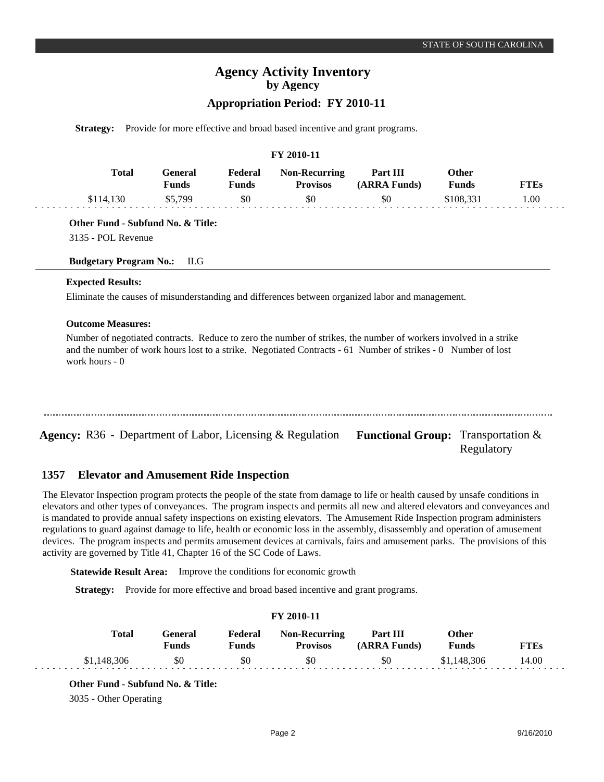# **Agency Activity Inventory by Agency**

## **Appropriation Period: FY 2010-11**

**Strategy:** Provide for more effective and broad based incentive and grant programs.

### **FY 2010-11**

| Total     | General<br>Funds | Federal<br>Funds | <b>Non-Recurring</b><br><b>Provisos</b> | Part III<br>(ARRA Funds) | Other<br>Funds | FTEs |
|-----------|------------------|------------------|-----------------------------------------|--------------------------|----------------|------|
| \$114.130 | \$5,799          | \$0              | \$0                                     | \$0                      | \$108.331      | L.00 |

**Other Fund - Subfund No. & Title:**

3135 - POL Revenue

**Budgetary Program No.:** II.G

### **Expected Results:**

Eliminate the causes of misunderstanding and differences between organized labor and management.

#### **Outcome Measures:**

Number of negotiated contracts. Reduce to zero the number of strikes, the number of workers involved in a strike and the number of work hours lost to a strike. Negotiated Contracts - 61 Number of strikes - 0 Number of lost work hours - 0

| <b>Agency:</b> R36 - Department of Labor, Licensing & Regulation <b>Functional Group:</b> Transportation & |            |
|------------------------------------------------------------------------------------------------------------|------------|
|                                                                                                            | Regulatory |

#### **Elevator and Amusement Ride Inspection 1357**

The Elevator Inspection program protects the people of the state from damage to life or health caused by unsafe conditions in elevators and other types of conveyances. The program inspects and permits all new and altered elevators and conveyances and is mandated to provide annual safety inspections on existing elevators. The Amusement Ride Inspection program administers regulations to guard against damage to life, health or economic loss in the assembly, disassembly and operation of amusement devices. The program inspects and permits amusement devices at carnivals, fairs and amusement parks. The provisions of this activity are governed by Title 41, Chapter 16 of the SC Code of Laws.

**Statewide Result Area:** Improve the conditions for economic growth

**Strategy:** Provide for more effective and broad based incentive and grant programs.

|              |                         |                  | FY 2010-11                              |                          |                              |             |
|--------------|-------------------------|------------------|-----------------------------------------|--------------------------|------------------------------|-------------|
| <b>Total</b> | General<br><b>Funds</b> | Federal<br>Funds | <b>Non-Recurring</b><br><b>Provisos</b> | Part III<br>(ARRA Funds) | <b>Other</b><br><b>Funds</b> | <b>FTEs</b> |
| \$1,148,306  | \$0                     | \$0              | \$0                                     | \$0                      | \$1,148,306                  | 14.00       |

#### **Other Fund - Subfund No. & Title:**

3035 - Other Operating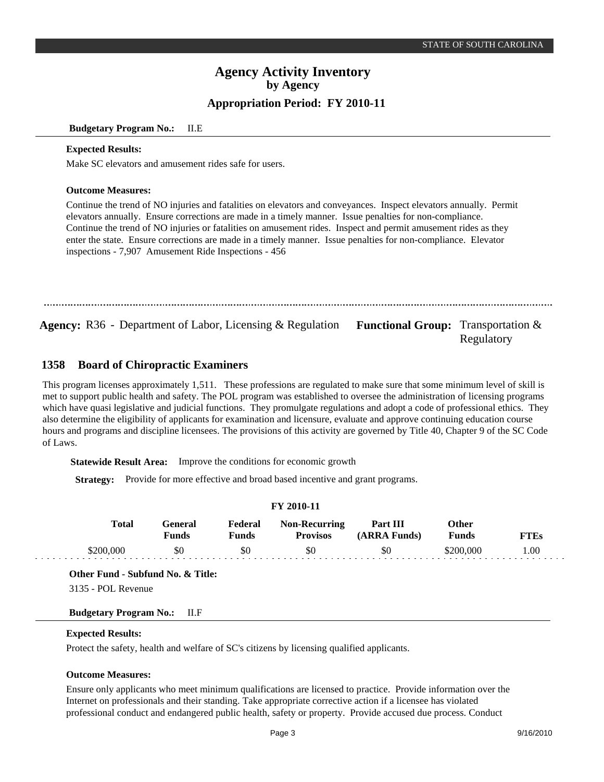#### **Budgetary Program No.:** II.E

#### **Expected Results:**

Make SC elevators and amusement rides safe for users.

#### **Outcome Measures:**

Continue the trend of NO injuries and fatalities on elevators and conveyances. Inspect elevators annually. Permit elevators annually. Ensure corrections are made in a timely manner. Issue penalties for non-compliance. Continue the trend of NO injuries or fatalities on amusement rides. Inspect and permit amusement rides as they enter the state. Ensure corrections are made in a timely manner. Issue penalties for non-compliance. Elevator inspections - 7,907 Amusement Ride Inspections - 456

**Agency:** R36 - Department of Labor, Licensing & Regulation Functional Group: Transportation &

Regulatory

#### **Board of Chiropractic Examiners 1358**

This program licenses approximately 1,511. These professions are regulated to make sure that some minimum level of skill is met to support public health and safety. The POL program was established to oversee the administration of licensing programs which have quasi legislative and judicial functions. They promulgate regulations and adopt a code of professional ethics. They also determine the eligibility of applicants for examination and licensure, evaluate and approve continuing education course hours and programs and discipline licensees. The provisions of this activity are governed by Title 40, Chapter 9 of the SC Code of Laws.

**Statewide Result Area:** Improve the conditions for economic growth

**Strategy:** Provide for more effective and broad based incentive and grant programs.

### **FY 2010-11**

| Total     | General<br>Funds | Federal<br>Funds | <b>Non-Recurring</b><br><b>Provisos</b> | Part III<br>(ARRA Funds) | 0ther<br>Funds | TTEs |
|-----------|------------------|------------------|-----------------------------------------|--------------------------|----------------|------|
| \$200,000 | \$0              | \$0              | \$0                                     | \$0                      |                | 00.  |

**Other Fund - Subfund No. & Title:**

3135 - POL Revenue

### **Budgetary Program No.:** II.F

## **Expected Results:**

Protect the safety, health and welfare of SC's citizens by licensing qualified applicants.

#### **Outcome Measures:**

Ensure only applicants who meet minimum qualifications are licensed to practice. Provide information over the Internet on professionals and their standing. Take appropriate corrective action if a licensee has violated professional conduct and endangered public health, safety or property. Provide accused due process. Conduct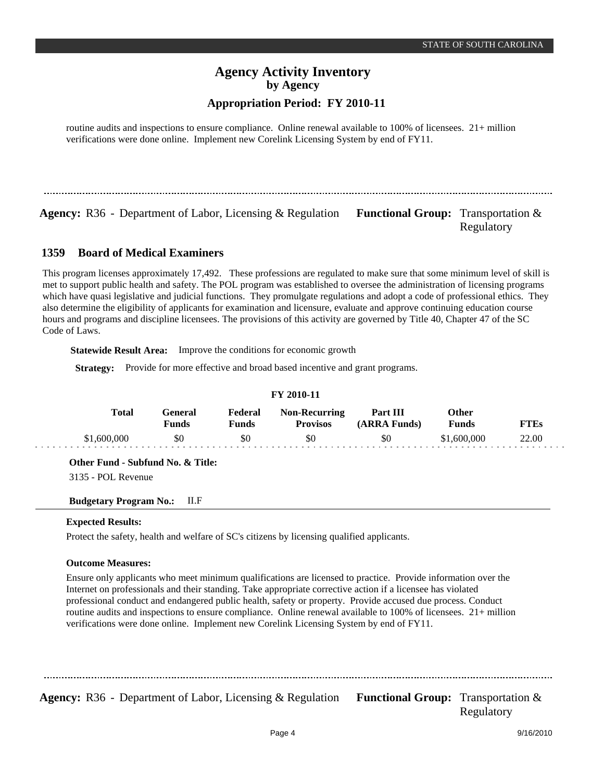routine audits and inspections to ensure compliance. Online renewal available to 100% of licensees. 21+ million verifications were done online. Implement new Corelink Licensing System by end of FY11.

**Agency:** R36 - Department of Labor, Licensing & Regulation Functional Group: Transportation &

Regulatory

#### **Board of Medical Examiners 1359**

This program licenses approximately 17,492. These professions are regulated to make sure that some minimum level of skill is met to support public health and safety. The POL program was established to oversee the administration of licensing programs which have quasi legislative and judicial functions. They promulgate regulations and adopt a code of professional ethics. They also determine the eligibility of applicants for examination and licensure, evaluate and approve continuing education course hours and programs and discipline licensees. The provisions of this activity are governed by Title 40, Chapter 47 of the SC Code of Laws.

**Statewide Result Area:** Improve the conditions for economic growth

**Strategy:** Provide for more effective and broad based incentive and grant programs.

|              |                         |                  | <b>FY 2010-11</b>                       |                          |                |             |
|--------------|-------------------------|------------------|-----------------------------------------|--------------------------|----------------|-------------|
| <b>Total</b> | General<br><b>Funds</b> | Federal<br>Funds | <b>Non-Recurring</b><br><b>Provisos</b> | Part III<br>(ARRA Funds) | Other<br>Funds | <b>FTEs</b> |
| \$1,600,000  | \$0                     | \$0              | \$0                                     | \$0                      | \$1,600,000    | 22.00       |

**Other Fund - Subfund No. & Title:**

3135 - POL Revenue

**Budgetary Program No.:** II.F

### **Expected Results:**

Protect the safety, health and welfare of SC's citizens by licensing qualified applicants.

### **Outcome Measures:**

Ensure only applicants who meet minimum qualifications are licensed to practice. Provide information over the Internet on professionals and their standing. Take appropriate corrective action if a licensee has violated professional conduct and endangered public health, safety or property. Provide accused due process. Conduct routine audits and inspections to ensure compliance. Online renewal available to 100% of licensees. 21+ million verifications were done online. Implement new Corelink Licensing System by end of FY11.

**Agency:** R36 - Department of Labor, Licensing & Regulation Functional Group: Transportation & Regulatory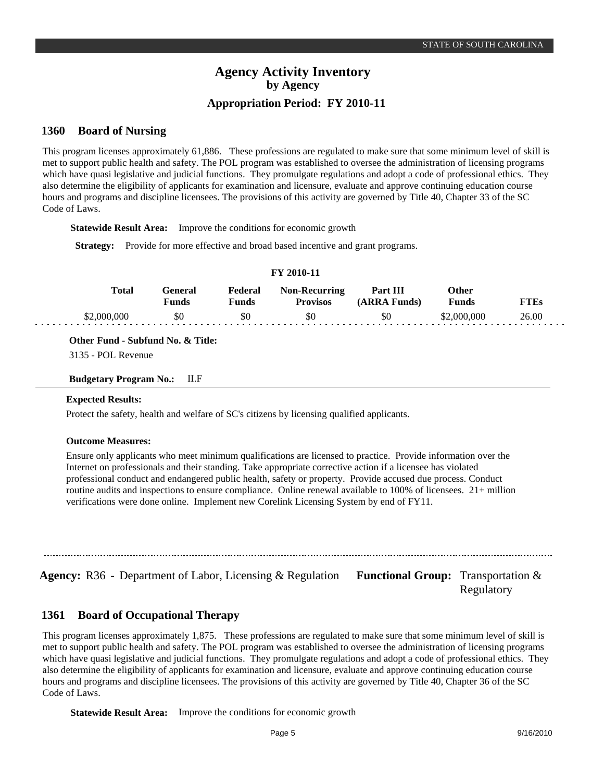#### **Board of Nursing 1360**

This program licenses approximately 61,886. These professions are regulated to make sure that some minimum level of skill is met to support public health and safety. The POL program was established to oversee the administration of licensing programs which have quasi legislative and judicial functions. They promulgate regulations and adopt a code of professional ethics. They also determine the eligibility of applicants for examination and licensure, evaluate and approve continuing education course hours and programs and discipline licensees. The provisions of this activity are governed by Title 40, Chapter 33 of the SC Code of Laws.

**Statewide Result Area:** Improve the conditions for economic growth

**Strategy:** Provide for more effective and broad based incentive and grant programs.

|             |                         |                         | FY 2010-11                              |                          |                       |             |
|-------------|-------------------------|-------------------------|-----------------------------------------|--------------------------|-----------------------|-------------|
| Total       | General<br><b>Funds</b> | Federal<br><b>Funds</b> | <b>Non-Recurring</b><br><b>Provisos</b> | Part III<br>(ARRA Funds) | Other<br><b>Funds</b> | <b>FTEs</b> |
| \$2,000,000 | \$0                     | \$0                     | \$0                                     | \$0                      | \$2,000,000           | 26.00       |

**Other Fund - Subfund No. & Title:**

3135 - POL Revenue

#### **Budgetary Program No.:** II.F

#### **Expected Results:**

Protect the safety, health and welfare of SC's citizens by licensing qualified applicants.

#### **Outcome Measures:**

Ensure only applicants who meet minimum qualifications are licensed to practice. Provide information over the Internet on professionals and their standing. Take appropriate corrective action if a licensee has violated professional conduct and endangered public health, safety or property. Provide accused due process. Conduct routine audits and inspections to ensure compliance. Online renewal available to 100% of licensees. 21+ million verifications were done online. Implement new Corelink Licensing System by end of FY11.

**Agency:** R36 - Department of Labor, Licensing & Regulation Functional Group: Transportation &

Regulatory

#### **Board of Occupational Therapy 1361**

This program licenses approximately 1,875. These professions are regulated to make sure that some minimum level of skill is met to support public health and safety. The POL program was established to oversee the administration of licensing programs which have quasi legislative and judicial functions. They promulgate regulations and adopt a code of professional ethics. They also determine the eligibility of applicants for examination and licensure, evaluate and approve continuing education course hours and programs and discipline licensees. The provisions of this activity are governed by Title 40, Chapter 36 of the SC Code of Laws.

**Statewide Result Area:** Improve the conditions for economic growth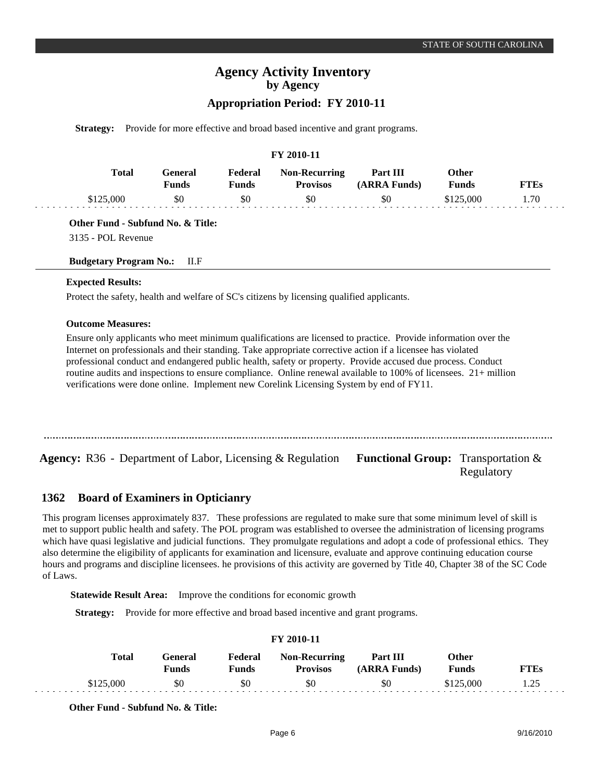# **Agency Activity Inventory by Agency**

## **Appropriation Period: FY 2010-11**

**Strategy:** Provide for more effective and broad based incentive and grant programs.

### **FY 2010-11**

| Total     | General)<br>Funds | Federal<br>Funds | <b>Non-Recurring</b><br><b>Provisos</b> | Part III<br>(ARRA Funds) | Other<br>Funds | <b>FTEs</b> |
|-----------|-------------------|------------------|-----------------------------------------|--------------------------|----------------|-------------|
| \$125.000 | \$0               | \$0              | \$0                                     | \$0                      | \$125,000      | 1.70        |

**Other Fund - Subfund No. & Title:**

3135 - POL Revenue

**Budgetary Program No.:** II.F

#### **Expected Results:**

Protect the safety, health and welfare of SC's citizens by licensing qualified applicants.

#### **Outcome Measures:**

Ensure only applicants who meet minimum qualifications are licensed to practice. Provide information over the Internet on professionals and their standing. Take appropriate corrective action if a licensee has violated professional conduct and endangered public health, safety or property. Provide accused due process. Conduct routine audits and inspections to ensure compliance. Online renewal available to 100% of licensees. 21+ million verifications were done online. Implement new Corelink Licensing System by end of FY11.

**Agency:** R36 - Department of Labor, Licensing & Regulation **Functional Group:** Transportation & Regulatory

#### **Board of Examiners in Opticianry 1362**

This program licenses approximately 837. These professions are regulated to make sure that some minimum level of skill is met to support public health and safety. The POL program was established to oversee the administration of licensing programs which have quasi legislative and judicial functions. They promulgate regulations and adopt a code of professional ethics. They also determine the eligibility of applicants for examination and licensure, evaluate and approve continuing education course hours and programs and discipline licensees. he provisions of this activity are governed by Title 40, Chapter 38 of the SC Code of Laws.

**Statewide Result Area:** Improve the conditions for economic growth

**Strategy:** Provide for more effective and broad based incentive and grant programs.

#### **FY 2010-11 General Funds**  \$0 **Other Funds** \$125,000 **Federal Funds**  \$0 **FTEs** 1.25 **Total**  \$125,000 **Non-Recurring Provisos** \$0 **Part III (ARRA Funds)** \$0

**Other Fund - Subfund No. & Title:**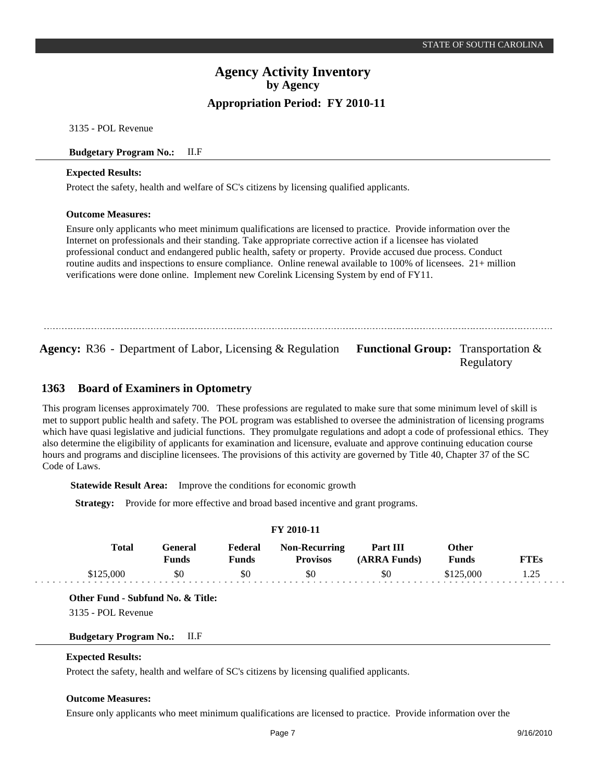3135 - POL Revenue

#### **Budgetary Program No.:** II.F

#### **Expected Results:**

Protect the safety, health and welfare of SC's citizens by licensing qualified applicants.

#### **Outcome Measures:**

Ensure only applicants who meet minimum qualifications are licensed to practice. Provide information over the Internet on professionals and their standing. Take appropriate corrective action if a licensee has violated professional conduct and endangered public health, safety or property. Provide accused due process. Conduct routine audits and inspections to ensure compliance. Online renewal available to 100% of licensees. 21+ million verifications were done online. Implement new Corelink Licensing System by end of FY11.

**Agency:** R36 - Department of Labor, Licensing & Regulation Functional Group: Transportation &

Regulatory

#### **Board of Examiners in Optometry 1363**

This program licenses approximately 700. These professions are regulated to make sure that some minimum level of skill is met to support public health and safety. The POL program was established to oversee the administration of licensing programs which have quasi legislative and judicial functions. They promulgate regulations and adopt a code of professional ethics. They also determine the eligibility of applicants for examination and licensure, evaluate and approve continuing education course hours and programs and discipline licensees. The provisions of this activity are governed by Title 40, Chapter 37 of the SC Code of Laws.

**Statewide Result Area:** Improve the conditions for economic growth

**Strategy:** Provide for more effective and broad based incentive and grant programs.

|           |                  |                         | I 1 2010-11                             |                          |                              |             |
|-----------|------------------|-------------------------|-----------------------------------------|--------------------------|------------------------------|-------------|
| Total     | General<br>Funds | Federal<br><b>Funds</b> | <b>Non-Recurring</b><br><b>Provisos</b> | Part III<br>(ARRA Funds) | <b>Other</b><br><b>Funds</b> | <b>FTEs</b> |
| \$125,000 | \$0              | \$0                     | \$0                                     | \$0                      | \$125,000                    | 1.25        |
|           |                  |                         |                                         |                          |                              |             |

**FY 2010-11**

**Other Fund - Subfund No. & Title:**

3135 - POL Revenue

**Budgetary Program No.:** II.F

## **Expected Results:**

Protect the safety, health and welfare of SC's citizens by licensing qualified applicants.

#### **Outcome Measures:**

Ensure only applicants who meet minimum qualifications are licensed to practice. Provide information over the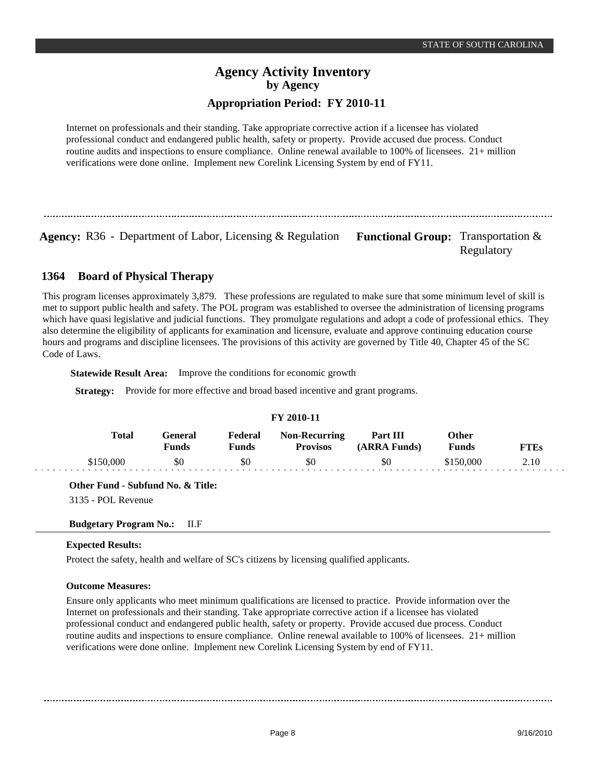# **Agency Activity Inventory by Agency**

## **Appropriation Period: FY 2010-11**

Internet on professionals and their standing. Take appropriate corrective action if a licensee has violated professional conduct and endangered public health, safety or property. Provide accused due process. Conduct routine audits and inspections to ensure compliance. Online renewal available to 100% of licensees. 21+ million verifications were done online. Implement new Corelink Licensing System by end of FY11.

Agency: R36 - Department of Labor, Licensing & Regulation Functional Group: Transportation &

Regulatory

#### **Board of Physical Therapy 1364**

This program licenses approximately 3,879. These professions are regulated to make sure that some minimum level of skill is met to support public health and safety. The POL program was established to oversee the administration of licensing programs which have quasi legislative and judicial functions. They promulgate regulations and adopt a code of professional ethics. They also determine the eligibility of applicants for examination and licensure, evaluate and approve continuing education course hours and programs and discipline licensees. The provisions of this activity are governed by Title 40, Chapter 45 of the SC Code of Laws.

**Statewide Result Area:** Improve the conditions for economic growth

**Strategy:** Provide for more effective and broad based incentive and grant programs.

|              |                         |                  | FY 2010-11                              |                          |                       |             |
|--------------|-------------------------|------------------|-----------------------------------------|--------------------------|-----------------------|-------------|
| <b>Total</b> | General<br><b>Funds</b> | Federal<br>Funds | <b>Non-Recurring</b><br><b>Provisos</b> | Part III<br>(ARRA Funds) | Other<br><b>Funds</b> | <b>FTEs</b> |
| \$150,000    | \$0                     | \$0              | \$0                                     | \$0                      | \$150,000             | 2.10        |

**Other Fund - Subfund No. & Title:**

3135 - POL Revenue

**Budgetary Program No.:** II.F

## **Expected Results:**

Protect the safety, health and welfare of SC's citizens by licensing qualified applicants.

## **Outcome Measures:**

Ensure only applicants who meet minimum qualifications are licensed to practice. Provide information over the Internet on professionals and their standing. Take appropriate corrective action if a licensee has violated professional conduct and endangered public health, safety or property. Provide accused due process. Conduct routine audits and inspections to ensure compliance. Online renewal available to 100% of licensees. 21+ million verifications were done online. Implement new Corelink Licensing System by end of FY11.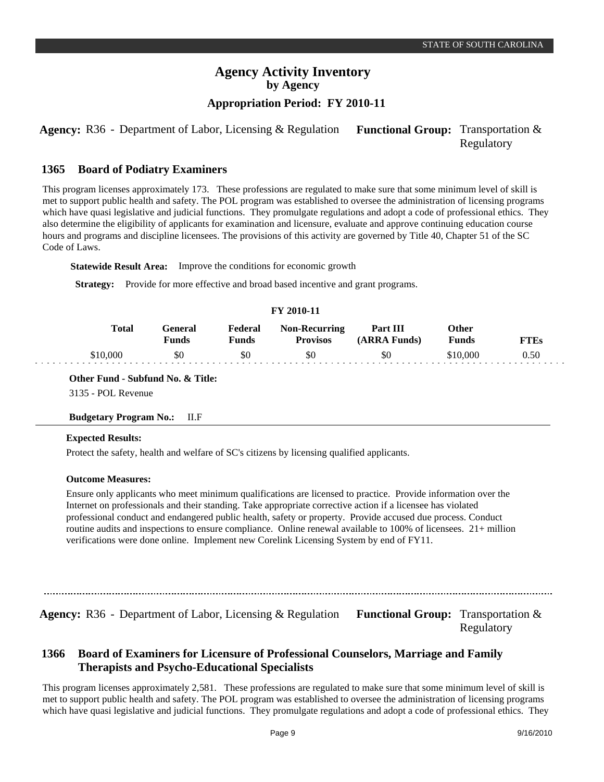**Agency:** R36 - Department of Labor, Licensing & Regulation Functional Group: Transportation & Regulatory

#### **Board of Podiatry Examiners 1365**

This program licenses approximately 173. These professions are regulated to make sure that some minimum level of skill is met to support public health and safety. The POL program was established to oversee the administration of licensing programs which have quasi legislative and judicial functions. They promulgate regulations and adopt a code of professional ethics. They also determine the eligibility of applicants for examination and licensure, evaluate and approve continuing education course hours and programs and discipline licensees. The provisions of this activity are governed by Title 40, Chapter 51 of the SC Code of Laws.

**Statewide Result Area:** Improve the conditions for economic growth

**Strategy:** Provide for more effective and broad based incentive and grant programs.

#### **FY 2010-11 General Funds**  \$0 **Other Funds** \$10,000 **Federal Funds**  \$0 **FTEs** 0.50 **Total**  \$10,000 **Non-Recurring Provisos** \$0 **Part III (ARRA Funds)** \$0

**Other Fund - Subfund No. & Title:**

3135 - POL Revenue

### **Budgetary Program No.:** II.F

### **Expected Results:**

Protect the safety, health and welfare of SC's citizens by licensing qualified applicants.

### **Outcome Measures:**

Ensure only applicants who meet minimum qualifications are licensed to practice. Provide information over the Internet on professionals and their standing. Take appropriate corrective action if a licensee has violated professional conduct and endangered public health, safety or property. Provide accused due process. Conduct routine audits and inspections to ensure compliance. Online renewal available to 100% of licensees. 21+ million verifications were done online. Implement new Corelink Licensing System by end of FY11.

Agency: R36 - Department of Labor, Licensing & Regulation Functional Group: Transportation & Regulatory

#### **Board of Examiners for Licensure of Professional Counselors, Marriage and Family Therapists and Psycho-Educational Specialists 1366**

This program licenses approximately 2,581. These professions are regulated to make sure that some minimum level of skill is met to support public health and safety. The POL program was established to oversee the administration of licensing programs which have quasi legislative and judicial functions. They promulgate regulations and adopt a code of professional ethics. They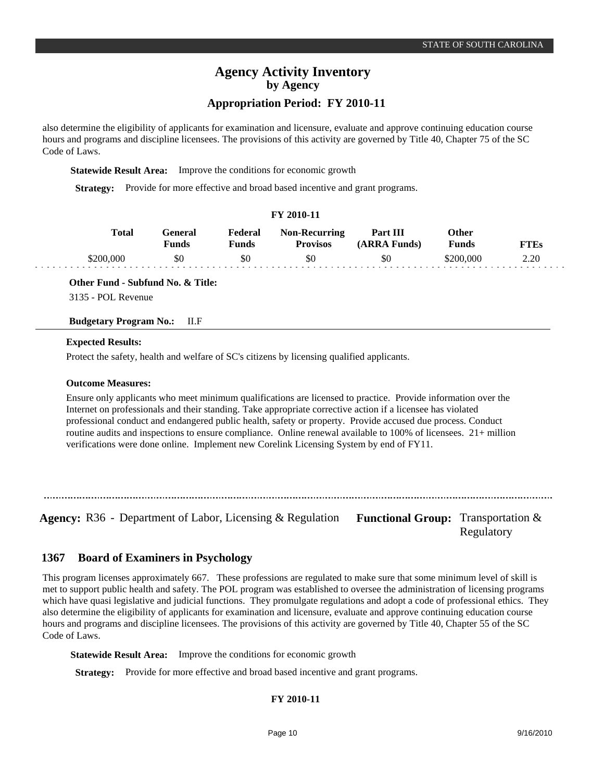## **Agency Activity Inventory by Agency**

## **Appropriation Period: FY 2010-11**

also determine the eligibility of applicants for examination and licensure, evaluate and approve continuing education course hours and programs and discipline licensees. The provisions of this activity are governed by Title 40, Chapter 75 of the SC Code of Laws.

**Statewide Result Area:** Improve the conditions for economic growth

**Strategy:** Provide for more effective and broad based incentive and grant programs.

| Y 2010-11 |
|-----------|
|-----------|

| <b>Total</b> | General<br><b>Funds</b> | Federal<br>Funds | <b>Non-Recurring</b><br><b>Provisos</b> | Part III<br>(ARRA Funds) | Other<br>Funds | <b>FTEs</b> |
|--------------|-------------------------|------------------|-----------------------------------------|--------------------------|----------------|-------------|
| :200.000     | \$0                     | \$0              | \$0                                     | \$0                      | \$200.000      | 2.20        |

**Other Fund - Subfund No. & Title:**

3135 - POL Revenue

#### **Budgetary Program No.:** II.F

#### **Expected Results:**

Protect the safety, health and welfare of SC's citizens by licensing qualified applicants.

### **Outcome Measures:**

Ensure only applicants who meet minimum qualifications are licensed to practice. Provide information over the Internet on professionals and their standing. Take appropriate corrective action if a licensee has violated professional conduct and endangered public health, safety or property. Provide accused due process. Conduct routine audits and inspections to ensure compliance. Online renewal available to 100% of licensees. 21+ million verifications were done online. Implement new Corelink Licensing System by end of FY11.

**Agency:** R36 - Department of Labor, Licensing & Regulation Functional Group: Transportation &

Regulatory

#### **Board of Examiners in Psychology 1367**

This program licenses approximately 667. These professions are regulated to make sure that some minimum level of skill is met to support public health and safety. The POL program was established to oversee the administration of licensing programs which have quasi legislative and judicial functions. They promulgate regulations and adopt a code of professional ethics. They also determine the eligibility of applicants for examination and licensure, evaluate and approve continuing education course hours and programs and discipline licensees. The provisions of this activity are governed by Title 40, Chapter 55 of the SC Code of Laws.

**Statewide Result Area:** Improve the conditions for economic growth

**Strategy:** Provide for more effective and broad based incentive and grant programs.

## **FY 2010-11**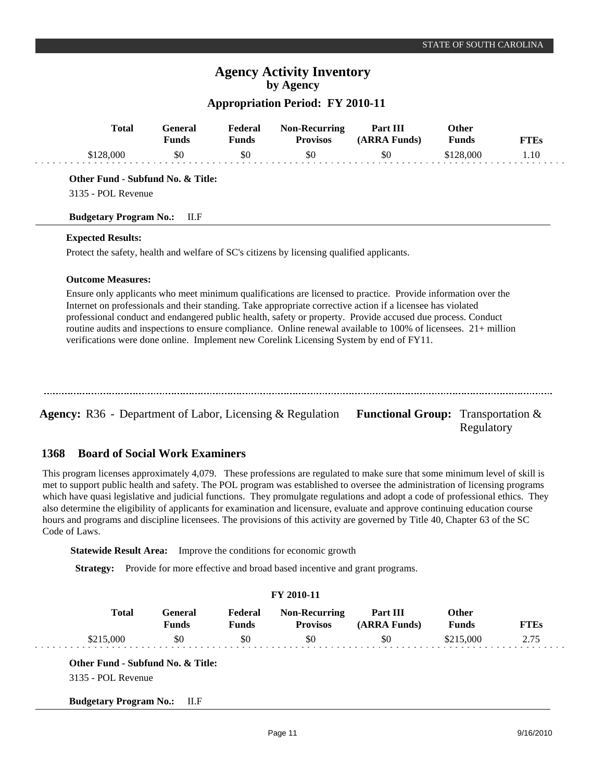## **Agency Activity Inventory by Agency**

## **Appropriation Period: FY 2010-11**

| <b>Total</b>                      | General<br><b>Funds</b> | Federal<br><b>Funds</b> | <b>Non-Recurring</b><br><b>Provisos</b>                                                                         | Part III<br>(ARRA Funds) | <b>Other</b><br><b>Funds</b> | <b>FTEs</b> |
|-----------------------------------|-------------------------|-------------------------|-----------------------------------------------------------------------------------------------------------------|--------------------------|------------------------------|-------------|
| \$128,000                         | \$0                     | \$0                     | \$0                                                                                                             | \$0                      | \$128,000                    | 1.10        |
| Other Fund - Subfund No. & Title: |                         |                         |                                                                                                                 |                          |                              |             |
| 3135 - POL Revenue                |                         |                         |                                                                                                                 |                          |                              |             |
| <b>Budgetary Program No.:</b>     | II.F                    |                         |                                                                                                                 |                          |                              |             |
| <b>Expected Results:</b>          |                         |                         |                                                                                                                 |                          |                              |             |
|                                   |                         |                         | Protect the safety, health and welfare of SC's citizens by licensing qualified applicants.                      |                          |                              |             |
| <b>Outcome Measures:</b>          |                         |                         |                                                                                                                 |                          |                              |             |
|                                   |                         |                         | Ensure only applicants who meet minimum qualifications are licensed to practice. Provide information over the   |                          |                              |             |
|                                   |                         |                         | Internet on professionals and their standing. Take appropriate corrective action if a licensee has violated     |                          |                              |             |
|                                   |                         |                         | professional conduct and endangered public health, safety or property. Provide accused due process. Conduct     |                          |                              |             |
|                                   |                         |                         | routine audits and inspections to ensure compliance. Online renewal available to 100% of licensees. 21+ million |                          |                              |             |
|                                   |                         |                         | verifications were done online. Implement new Corelink Licensing System by end of FY11.                         |                          |                              |             |

**Agency:** R36 - Department of Labor, Licensing & Regulation Functional Group: Transportation & Regulatory

#### **Board of Social Work Examiners 1368**

This program licenses approximately 4,079. These professions are regulated to make sure that some minimum level of skill is met to support public health and safety. The POL program was established to oversee the administration of licensing programs which have quasi legislative and judicial functions. They promulgate regulations and adopt a code of professional ethics. They also determine the eligibility of applicants for examination and licensure, evaluate and approve continuing education course hours and programs and discipline licensees. The provisions of this activity are governed by Title 40, Chapter 63 of the SC Code of Laws.

**Statewide Result Area:** Improve the conditions for economic growth

**Strategy:** Provide for more effective and broad based incentive and grant programs.

| <b>FY 2010-11</b> |           |                          |                         |                                         |                          |                       |      |  |  |
|-------------------|-----------|--------------------------|-------------------------|-----------------------------------------|--------------------------|-----------------------|------|--|--|
|                   | Total     | General)<br><b>Funds</b> | Federal<br><b>Funds</b> | <b>Non-Recurring</b><br><b>Provisos</b> | Part III<br>(ARRA Funds) | Other<br><b>Funds</b> | FTEs |  |  |
|                   | \$215,000 | \$0                      | \$0                     | \$0                                     | \$0                      | \$215,000             | 2.75 |  |  |

**Other Fund - Subfund No. & Title:**

3135 - POL Revenue

**Budgetary Program No.:** II.F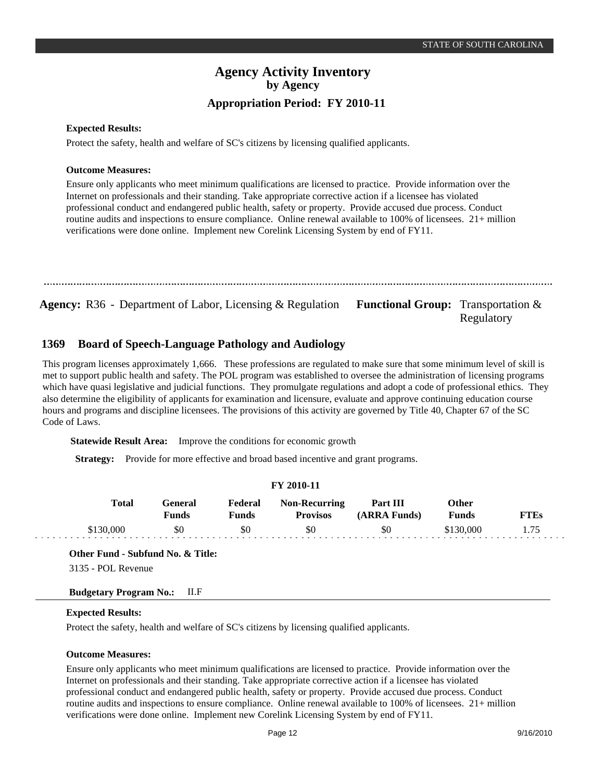Regulatory

## **Agency Activity Inventory by Agency Appropriation Period: FY 2010-11**

### **Expected Results:**

Protect the safety, health and welfare of SC's citizens by licensing qualified applicants.

#### **Outcome Measures:**

Ensure only applicants who meet minimum qualifications are licensed to practice. Provide information over the Internet on professionals and their standing. Take appropriate corrective action if a licensee has violated professional conduct and endangered public health, safety or property. Provide accused due process. Conduct routine audits and inspections to ensure compliance. Online renewal available to 100% of licensees. 21+ million verifications were done online. Implement new Corelink Licensing System by end of FY11.

**Agency:** R36 - Department of Labor, Licensing & Regulation Functional Group: Transportation &

#### **Board of Speech-Language Pathology and Audiology 1369**

This program licenses approximately 1,666. These professions are regulated to make sure that some minimum level of skill is met to support public health and safety. The POL program was established to oversee the administration of licensing programs which have quasi legislative and judicial functions. They promulgate regulations and adopt a code of professional ethics. They also determine the eligibility of applicants for examination and licensure, evaluate and approve continuing education course hours and programs and discipline licensees. The provisions of this activity are governed by Title 40, Chapter 67 of the SC Code of Laws.

**Statewide Result Area:** Improve the conditions for economic growth

**Strategy:** Provide for more effective and broad based incentive and grant programs.

|           | FY 2010-11              |                  |                                         |                          |                       |             |  |  |  |  |  |
|-----------|-------------------------|------------------|-----------------------------------------|--------------------------|-----------------------|-------------|--|--|--|--|--|
| Total     | General<br><b>Funds</b> | Federal<br>Funds | <b>Non-Recurring</b><br><b>Provisos</b> | Part III<br>(ARRA Funds) | <b>Other</b><br>Funds | <b>FTEs</b> |  |  |  |  |  |
| \$130,000 | \$0                     | \$0              | \$0                                     | \$0                      | \$130,000             | 1.75        |  |  |  |  |  |

#### **Other Fund - Subfund No. & Title:**

3135 - POL Revenue

### **Budgetary Program No.:** II.F

#### **Expected Results:**

Protect the safety, health and welfare of SC's citizens by licensing qualified applicants.

#### **Outcome Measures:**

Ensure only applicants who meet minimum qualifications are licensed to practice. Provide information over the Internet on professionals and their standing. Take appropriate corrective action if a licensee has violated professional conduct and endangered public health, safety or property. Provide accused due process. Conduct routine audits and inspections to ensure compliance. Online renewal available to 100% of licensees. 21+ million verifications were done online. Implement new Corelink Licensing System by end of FY11.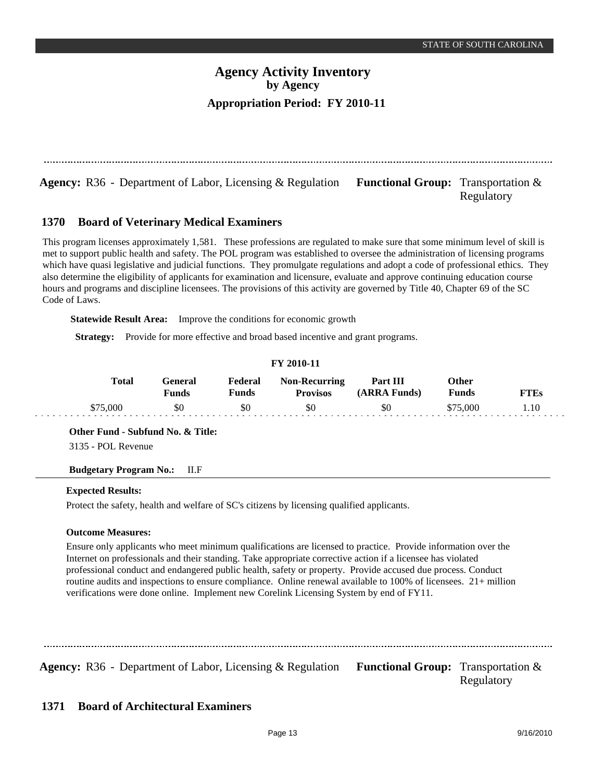Agency: R36 - Department of Labor, Licensing & Regulation Functional Group: Transportation &

Regulatory

#### **Board of Veterinary Medical Examiners 1370**

This program licenses approximately 1,581. These professions are regulated to make sure that some minimum level of skill is met to support public health and safety. The POL program was established to oversee the administration of licensing programs which have quasi legislative and judicial functions. They promulgate regulations and adopt a code of professional ethics. They also determine the eligibility of applicants for examination and licensure, evaluate and approve continuing education course hours and programs and discipline licensees. The provisions of this activity are governed by Title 40, Chapter 69 of the SC Code of Laws.

**Statewide Result Area:** Improve the conditions for economic growth

**Strategy:** Provide for more effective and broad based incentive and grant programs.

## **FY 2010-11**

| <b>Total</b> | Feneral<br>Funds | Federal<br>पmds | <b>Non-Recurring</b><br><b>Provisos</b> | Part III<br>(ARRA Funds) | Other<br><b>Funds</b> | <b>FTEs</b> |
|--------------|------------------|-----------------|-----------------------------------------|--------------------------|-----------------------|-------------|
| \$75,000     | \$0              | \$0             | \$0                                     | \$0                      | 575.000               |             |

**Other Fund - Subfund No. & Title:**

3135 - POL Revenue

### **Budgetary Program No.:** II.F

### **Expected Results:**

Protect the safety, health and welfare of SC's citizens by licensing qualified applicants.

### **Outcome Measures:**

Ensure only applicants who meet minimum qualifications are licensed to practice. Provide information over the Internet on professionals and their standing. Take appropriate corrective action if a licensee has violated professional conduct and endangered public health, safety or property. Provide accused due process. Conduct routine audits and inspections to ensure compliance. Online renewal available to 100% of licensees. 21+ million verifications were done online. Implement new Corelink Licensing System by end of FY11.

Agency: R36 - Department of Labor, Licensing & Regulation Functional Group: Transportation &

Regulatory

#### **Board of Architectural Examiners 1371**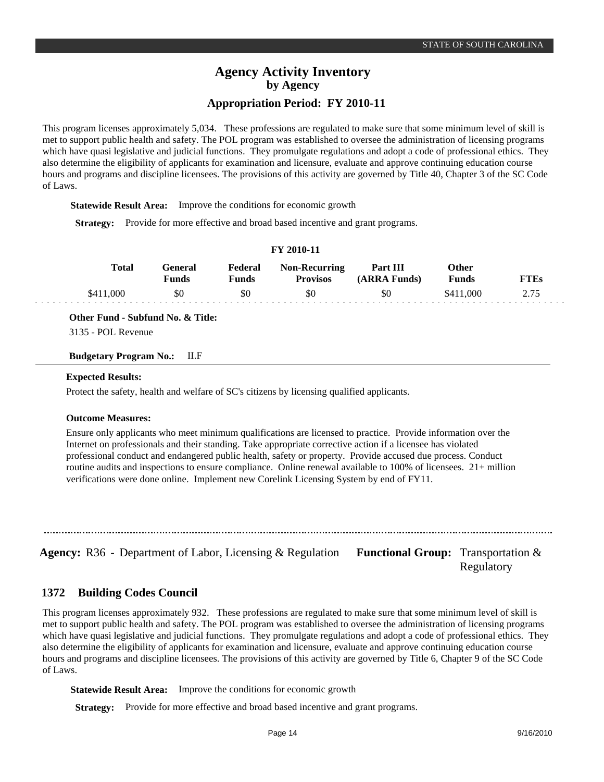This program licenses approximately 5,034. These professions are regulated to make sure that some minimum level of skill is met to support public health and safety. The POL program was established to oversee the administration of licensing programs which have quasi legislative and judicial functions. They promulgate regulations and adopt a code of professional ethics. They also determine the eligibility of applicants for examination and licensure, evaluate and approve continuing education course hours and programs and discipline licensees. The provisions of this activity are governed by Title 40, Chapter 3 of the SC Code of Laws.

**Statewide Result Area:** Improve the conditions for economic growth

**Strategy:** Provide for more effective and broad based incentive and grant programs.

| FY 2010-11 |  |  |  |
|------------|--|--|--|
|------------|--|--|--|

| Total     | reneral:<br>Funds | Federal<br>Funds | <b>Non-Recurring</b><br><b>Provisos</b> | Part III<br>(ARRA Funds) | Other<br><b>Funds</b> | FT F.s |
|-----------|-------------------|------------------|-----------------------------------------|--------------------------|-----------------------|--------|
| \$411,000 | \$0               | \$0              | \$0                                     | \$0                      | \$411,000             | 2.75   |

**Other Fund - Subfund No. & Title:**

3135 - POL Revenue

**Budgetary Program No.:** II.F

#### **Expected Results:**

Protect the safety, health and welfare of SC's citizens by licensing qualified applicants.

#### **Outcome Measures:**

Ensure only applicants who meet minimum qualifications are licensed to practice. Provide information over the Internet on professionals and their standing. Take appropriate corrective action if a licensee has violated professional conduct and endangered public health, safety or property. Provide accused due process. Conduct routine audits and inspections to ensure compliance. Online renewal available to 100% of licensees. 21+ million verifications were done online. Implement new Corelink Licensing System by end of FY11.

**Agency:** R36 - Department of Labor, Licensing & Regulation Functional Group: Transportation &

Regulatory

#### **Building Codes Council 1372**

This program licenses approximately 932. These professions are regulated to make sure that some minimum level of skill is met to support public health and safety. The POL program was established to oversee the administration of licensing programs which have quasi legislative and judicial functions. They promulgate regulations and adopt a code of professional ethics. They also determine the eligibility of applicants for examination and licensure, evaluate and approve continuing education course hours and programs and discipline licensees. The provisions of this activity are governed by Title 6, Chapter 9 of the SC Code of Laws.

**Statewide Result Area:** Improve the conditions for economic growth

**Strategy:** Provide for more effective and broad based incentive and grant programs.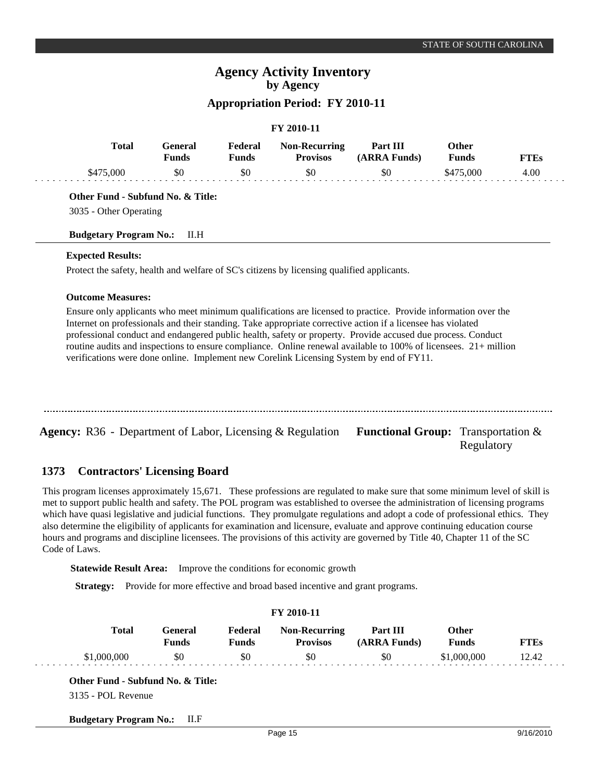|  | FY 2010-11 |
|--|------------|
|--|------------|

| Total     | General<br>Funds | Federal<br>Funds | <b>Non-Recurring</b><br><b>Provisos</b> | Part III<br>(ARRA Funds) | Other<br><b>Funds</b> | FTEs |
|-----------|------------------|------------------|-----------------------------------------|--------------------------|-----------------------|------|
| \$475,000 | 80               | \$0              | \$0                                     | \$0                      | \$475,000             | 4.00 |

**Other Fund - Subfund No. & Title:**

3035 - Other Operating

**Budgetary Program No.:** II.H

#### **Expected Results:**

Protect the safety, health and welfare of SC's citizens by licensing qualified applicants.

### **Outcome Measures:**

Ensure only applicants who meet minimum qualifications are licensed to practice. Provide information over the Internet on professionals and their standing. Take appropriate corrective action if a licensee has violated professional conduct and endangered public health, safety or property. Provide accused due process. Conduct routine audits and inspections to ensure compliance. Online renewal available to 100% of licensees. 21+ million verifications were done online. Implement new Corelink Licensing System by end of FY11.

| <b>Agency:</b> R36 - Department of Labor, Licensing $\&$ Regulation | <b>Functional Group:</b> Transportation $\&$<br>Regulatory |
|---------------------------------------------------------------------|------------------------------------------------------------|

#### **Contractors' Licensing Board 1373**

This program licenses approximately 15,671. These professions are regulated to make sure that some minimum level of skill is met to support public health and safety. The POL program was established to oversee the administration of licensing programs which have quasi legislative and judicial functions. They promulgate regulations and adopt a code of professional ethics. They also determine the eligibility of applicants for examination and licensure, evaluate and approve continuing education course hours and programs and discipline licensees. The provisions of this activity are governed by Title 40, Chapter 11 of the SC Code of Laws.

**Statewide Result Area:** Improve the conditions for economic growth

**Strategy:** Provide for more effective and broad based incentive and grant programs.

|              |                  |                         | FY 2010-11                              |                          |                              |             |
|--------------|------------------|-------------------------|-----------------------------------------|--------------------------|------------------------------|-------------|
| <b>Total</b> | General<br>Funds | Federal<br><b>Funds</b> | <b>Non-Recurring</b><br><b>Provisos</b> | Part III<br>(ARRA Funds) | <b>Other</b><br><b>Funds</b> | <b>FTEs</b> |
| \$1,000,000  | \$0              | \$0                     | \$0                                     | \$0                      | \$1,000,000                  | 12.42       |

**Budgetary Program No.:** II.F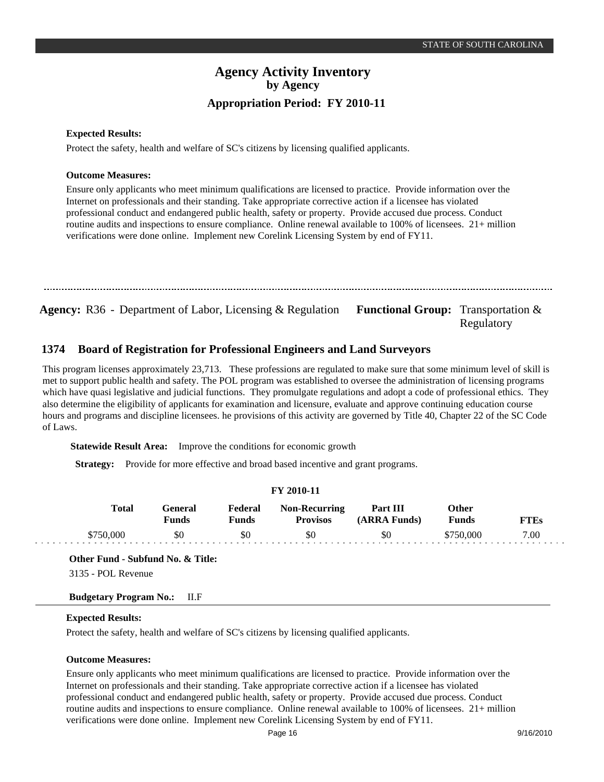#### **Expected Results:**

Protect the safety, health and welfare of SC's citizens by licensing qualified applicants.

#### **Outcome Measures:**

Ensure only applicants who meet minimum qualifications are licensed to practice. Provide information over the Internet on professionals and their standing. Take appropriate corrective action if a licensee has violated professional conduct and endangered public health, safety or property. Provide accused due process. Conduct routine audits and inspections to ensure compliance. Online renewal available to 100% of licensees. 21+ million verifications were done online. Implement new Corelink Licensing System by end of FY11.

Agency: R36 - Department of Labor, Licensing & Regulation Functional Group: Transportation & Regulatory

#### **Board of Registration for Professional Engineers and Land Surveyors 1374**

This program licenses approximately 23,713. These professions are regulated to make sure that some minimum level of skill is met to support public health and safety. The POL program was established to oversee the administration of licensing programs which have quasi legislative and judicial functions. They promulgate regulations and adopt a code of professional ethics. They also determine the eligibility of applicants for examination and licensure, evaluate and approve continuing education course hours and programs and discipline licensees. he provisions of this activity are governed by Title 40, Chapter 22 of the SC Code of Laws.

**Statewide Result Area:** Improve the conditions for economic growth

**Strategy:** Provide for more effective and broad based incentive and grant programs.

#### **FY 2010-11**

| <b>Total</b> | General<br><b>Funds</b> | Federal<br>Funds | <b>Non-Recurring</b><br><b>Provisos</b> | Part III<br>(ARRA Funds) | Other<br><b>Funds</b> | FTEs |
|--------------|-------------------------|------------------|-----------------------------------------|--------------------------|-----------------------|------|
| \$750,000    | \$0                     | \$0              | \$0                                     | \$0                      | \$750,000             | 7.00 |

**Other Fund - Subfund No. & Title:**

3135 - POL Revenue

### **Budgetary Program No.:** II.F

### **Expected Results:**

Protect the safety, health and welfare of SC's citizens by licensing qualified applicants.

#### **Outcome Measures:**

Ensure only applicants who meet minimum qualifications are licensed to practice. Provide information over the Internet on professionals and their standing. Take appropriate corrective action if a licensee has violated professional conduct and endangered public health, safety or property. Provide accused due process. Conduct routine audits and inspections to ensure compliance. Online renewal available to 100% of licensees. 21+ million verifications were done online. Implement new Corelink Licensing System by end of FY11.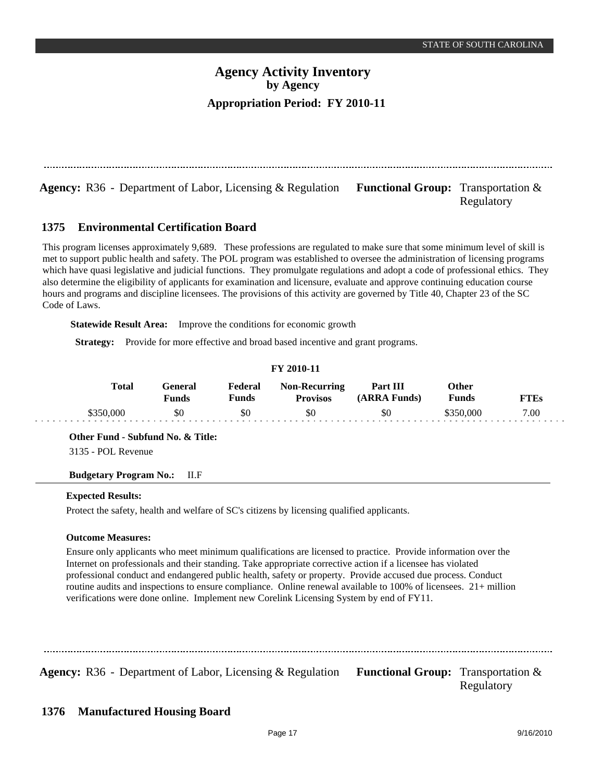**Agency:** R36 - Department of Labor, Licensing & Regulation Functional Group: Transportation & Regulatory

#### **Environmental Certification Board 1375**

This program licenses approximately 9,689. These professions are regulated to make sure that some minimum level of skill is met to support public health and safety. The POL program was established to oversee the administration of licensing programs which have quasi legislative and judicial functions. They promulgate regulations and adopt a code of professional ethics. They also determine the eligibility of applicants for examination and licensure, evaluate and approve continuing education course hours and programs and discipline licensees. The provisions of this activity are governed by Title 40, Chapter 23 of the SC Code of Laws.

**Statewide Result Area:** Improve the conditions for economic growth

**Strategy:** Provide for more effective and broad based incentive and grant programs.

| TT TATTLE |           |                  |                  |                                         |                          |                |        |  |  |  |
|-----------|-----------|------------------|------------------|-----------------------------------------|--------------------------|----------------|--------|--|--|--|
|           | Total     | General<br>Funds | Federal<br>Funds | <b>Non-Recurring</b><br><b>Provisos</b> | Part III<br>(ARRA Funds) | Other<br>Funds | FT F.s |  |  |  |
|           | \$350,000 | \$0              | \$0              | \$0                                     | \$0                      | \$350.000      | 7.00   |  |  |  |

**FY 2010-11**

**Other Fund - Subfund No. & Title:**

3135 - POL Revenue

### **Budgetary Program No.:** II.F

#### **Expected Results:**

Protect the safety, health and welfare of SC's citizens by licensing qualified applicants.

### **Outcome Measures:**

Ensure only applicants who meet minimum qualifications are licensed to practice. Provide information over the Internet on professionals and their standing. Take appropriate corrective action if a licensee has violated professional conduct and endangered public health, safety or property. Provide accused due process. Conduct routine audits and inspections to ensure compliance. Online renewal available to 100% of licensees. 21+ million verifications were done online. Implement new Corelink Licensing System by end of FY11.

**Agency:** R36 - Department of Labor, Licensing & Regulation Functional Group: Transportation & Regulatory

#### **Manufactured Housing Board 1376**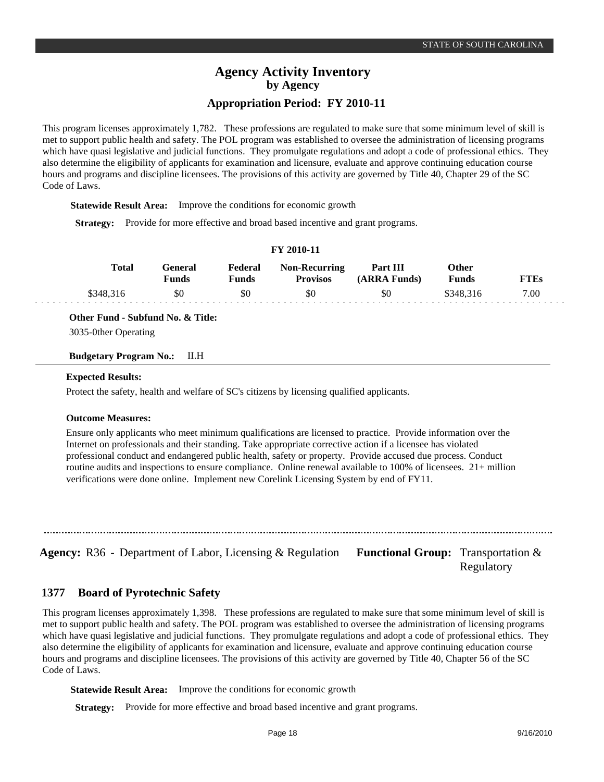This program licenses approximately 1,782. These professions are regulated to make sure that some minimum level of skill is met to support public health and safety. The POL program was established to oversee the administration of licensing programs which have quasi legislative and judicial functions. They promulgate regulations and adopt a code of professional ethics. They also determine the eligibility of applicants for examination and licensure, evaluate and approve continuing education course hours and programs and discipline licensees. The provisions of this activity are governed by Title 40, Chapter 29 of the SC Code of Laws.

**Statewide Result Area:** Improve the conditions for economic growth

**Strategy:** Provide for more effective and broad based incentive and grant programs.

|  |  | FY 2010-11 |
|--|--|------------|
|--|--|------------|

| Total     | '÷eneral<br>Funds | Federal<br>Funds | <b>Non-Recurring</b><br><b>Provisos</b> | Part III<br>(ARRA Funds) | Other<br><b>Funds</b> | FTEs |
|-----------|-------------------|------------------|-----------------------------------------|--------------------------|-----------------------|------|
| \$348.316 | \$0               | \$0              | \$0                                     | \$0                      | \$348.316             | 7.00 |

**Other Fund - Subfund No. & Title:**

3035-0ther Operating

**Budgetary Program No.:** II.H

#### **Expected Results:**

Protect the safety, health and welfare of SC's citizens by licensing qualified applicants.

#### **Outcome Measures:**

Ensure only applicants who meet minimum qualifications are licensed to practice. Provide information over the Internet on professionals and their standing. Take appropriate corrective action if a licensee has violated professional conduct and endangered public health, safety or property. Provide accused due process. Conduct routine audits and inspections to ensure compliance. Online renewal available to 100% of licensees. 21+ million verifications were done online. Implement new Corelink Licensing System by end of FY11.

**Agency:** R36 - Department of Labor, Licensing & Regulation Functional Group: Transportation &

Regulatory

#### **Board of Pyrotechnic Safety 1377**

This program licenses approximately 1,398. These professions are regulated to make sure that some minimum level of skill is met to support public health and safety. The POL program was established to oversee the administration of licensing programs which have quasi legislative and judicial functions. They promulgate regulations and adopt a code of professional ethics. They also determine the eligibility of applicants for examination and licensure, evaluate and approve continuing education course hours and programs and discipline licensees. The provisions of this activity are governed by Title 40, Chapter 56 of the SC Code of Laws.

**Statewide Result Area:** Improve the conditions for economic growth

**Strategy:** Provide for more effective and broad based incentive and grant programs.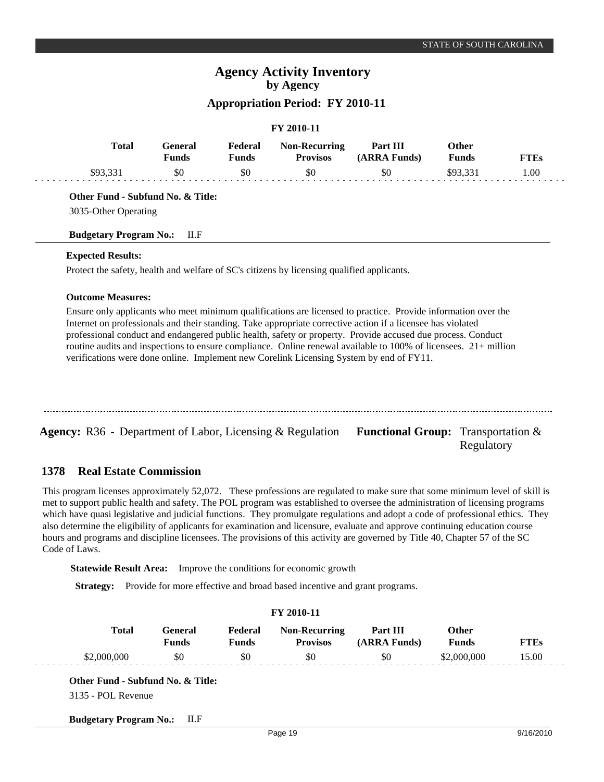## **FY 2010-11**

| <b>Total</b> | General<br>Funds | Federal<br>Funds | <b>Non-Recurring</b><br><b>Provisos</b> | Part III<br>(ARRA Funds) | Other<br><b>Funds</b> | FTEs |
|--------------|------------------|------------------|-----------------------------------------|--------------------------|-----------------------|------|
| \$93.331     | \$0              | \$0              | \$0                                     | \$0                      | \$93.331              | .00  |

**Other Fund - Subfund No. & Title:**

3035-Other Operating

### **Budgetary Program No.:** II.F

### **Expected Results:**

Protect the safety, health and welfare of SC's citizens by licensing qualified applicants.

### **Outcome Measures:**

Ensure only applicants who meet minimum qualifications are licensed to practice. Provide information over the Internet on professionals and their standing. Take appropriate corrective action if a licensee has violated professional conduct and endangered public health, safety or property. Provide accused due process. Conduct routine audits and inspections to ensure compliance. Online renewal available to 100% of licensees. 21+ million verifications were done online. Implement new Corelink Licensing System by end of FY11.

| <b>Agency:</b> R36 - Department of Labor, Licensing $\&$ Regulation | <b>Functional Group:</b> Transportation $\&$<br>Regulatory |
|---------------------------------------------------------------------|------------------------------------------------------------|

#### **Real Estate Commission 1378**

This program licenses approximately 52,072. These professions are regulated to make sure that some minimum level of skill is met to support public health and safety. The POL program was established to oversee the administration of licensing programs which have quasi legislative and judicial functions. They promulgate regulations and adopt a code of professional ethics. They also determine the eligibility of applicants for examination and licensure, evaluate and approve continuing education course hours and programs and discipline licensees. The provisions of this activity are governed by Title 40, Chapter 57 of the SC Code of Laws.

**Statewide Result Area:** Improve the conditions for economic growth

**Strategy:** Provide for more effective and broad based incentive and grant programs.

|              |                                |                         | FY 2010-11                              |                          |                              |             |
|--------------|--------------------------------|-------------------------|-----------------------------------------|--------------------------|------------------------------|-------------|
| <b>Total</b> | <b>General</b><br><b>Funds</b> | Federal<br><b>Funds</b> | <b>Non-Recurring</b><br><b>Provisos</b> | Part III<br>(ARRA Funds) | <b>Other</b><br><b>Funds</b> | <b>FTEs</b> |
| \$2,000,000  | \$0                            | \$0                     | \$0                                     | \$0                      | \$2,000,000                  | 15.00       |

**Budgetary Program No.:** II.F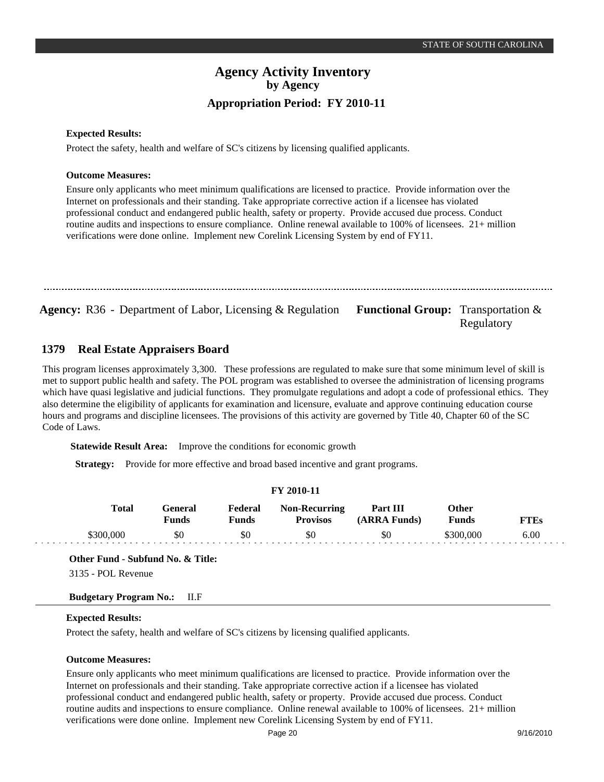Regulatory

## **Agency Activity Inventory by Agency Appropriation Period: FY 2010-11**

#### **Expected Results:**

Protect the safety, health and welfare of SC's citizens by licensing qualified applicants.

#### **Outcome Measures:**

Ensure only applicants who meet minimum qualifications are licensed to practice. Provide information over the Internet on professionals and their standing. Take appropriate corrective action if a licensee has violated professional conduct and endangered public health, safety or property. Provide accused due process. Conduct routine audits and inspections to ensure compliance. Online renewal available to 100% of licensees. 21+ million verifications were done online. Implement new Corelink Licensing System by end of FY11.

Agency: R36 - Department of Labor, Licensing & Regulation Functional Group: Transportation &

#### **Real Estate Appraisers Board 1379**

This program licenses approximately 3,300. These professions are regulated to make sure that some minimum level of skill is met to support public health and safety. The POL program was established to oversee the administration of licensing programs which have quasi legislative and judicial functions. They promulgate regulations and adopt a code of professional ethics. They also determine the eligibility of applicants for examination and licensure, evaluate and approve continuing education course hours and programs and discipline licensees. The provisions of this activity are governed by Title 40, Chapter 60 of the SC Code of Laws.

**Statewide Result Area:** Improve the conditions for economic growth

**Strategy:** Provide for more effective and broad based incentive and grant programs.

#### **FY 2010-11**

| <b>Total</b> | General<br>Funds | Federal<br>Funds | <b>Non-Recurring</b><br><b>Provisos</b> | Part III<br>(ARRA Funds) | Other<br><b>Funds</b> | FTEs |
|--------------|------------------|------------------|-----------------------------------------|--------------------------|-----------------------|------|
| \$300,000    | \$0              | \$0              | \$0                                     | \$0                      | \$300,000             | 6.00 |

**Other Fund - Subfund No. & Title:**

3135 - POL Revenue

### **Budgetary Program No.:** II.F

### **Expected Results:**

Protect the safety, health and welfare of SC's citizens by licensing qualified applicants.

#### **Outcome Measures:**

Ensure only applicants who meet minimum qualifications are licensed to practice. Provide information over the Internet on professionals and their standing. Take appropriate corrective action if a licensee has violated professional conduct and endangered public health, safety or property. Provide accused due process. Conduct routine audits and inspections to ensure compliance. Online renewal available to 100% of licensees. 21+ million verifications were done online. Implement new Corelink Licensing System by end of FY11.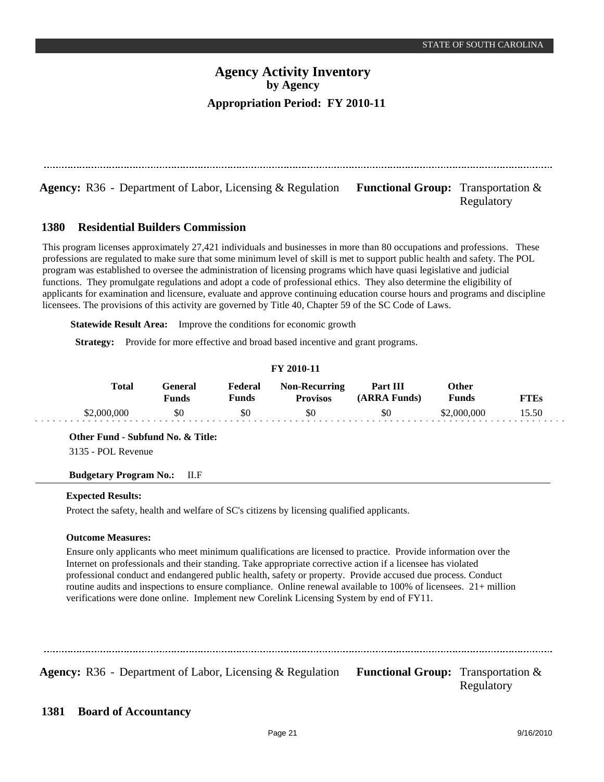**Agency:** R36 - Department of Labor, Licensing & Regulation Functional Group: Transportation & Regulatory

#### **Residential Builders Commission 1380**

This program licenses approximately 27,421 individuals and businesses in more than 80 occupations and professions. These professions are regulated to make sure that some minimum level of skill is met to support public health and safety. The POL program was established to oversee the administration of licensing programs which have quasi legislative and judicial functions. They promulgate regulations and adopt a code of professional ethics. They also determine the eligibility of applicants for examination and licensure, evaluate and approve continuing education course hours and programs and discipline licensees. The provisions of this activity are governed by Title 40, Chapter 59 of the SC Code of Laws.

**Statewide Result Area:** Improve the conditions for economic growth

**Strategy:** Provide for more effective and broad based incentive and grant programs.

| T 1 2010-11 |             |                         |                  |                                         |                          |                |       |  |
|-------------|-------------|-------------------------|------------------|-----------------------------------------|--------------------------|----------------|-------|--|
|             | Total       | General<br><b>Funds</b> | Federal<br>Funds | <b>Non-Recurring</b><br><b>Provisos</b> | Part III<br>(ARRA Funds) | Other<br>Funds | FTEs  |  |
|             | \$2,000,000 | \$0                     | \$0              | \$0                                     | \$0                      | \$2,000,000    | 15.50 |  |

**FY 2010-11**

**Other Fund - Subfund No. & Title:**

3135 - POL Revenue

### **Budgetary Program No.:** II.F

#### **Expected Results:**

Protect the safety, health and welfare of SC's citizens by licensing qualified applicants.

### **Outcome Measures:**

Ensure only applicants who meet minimum qualifications are licensed to practice. Provide information over the Internet on professionals and their standing. Take appropriate corrective action if a licensee has violated professional conduct and endangered public health, safety or property. Provide accused due process. Conduct routine audits and inspections to ensure compliance. Online renewal available to 100% of licensees. 21+ million verifications were done online. Implement new Corelink Licensing System by end of FY11.

**Agency:** R36 - Department of Labor, Licensing & Regulation Functional Group: Transportation & Regulatory

#### **Board of Accountancy 1381**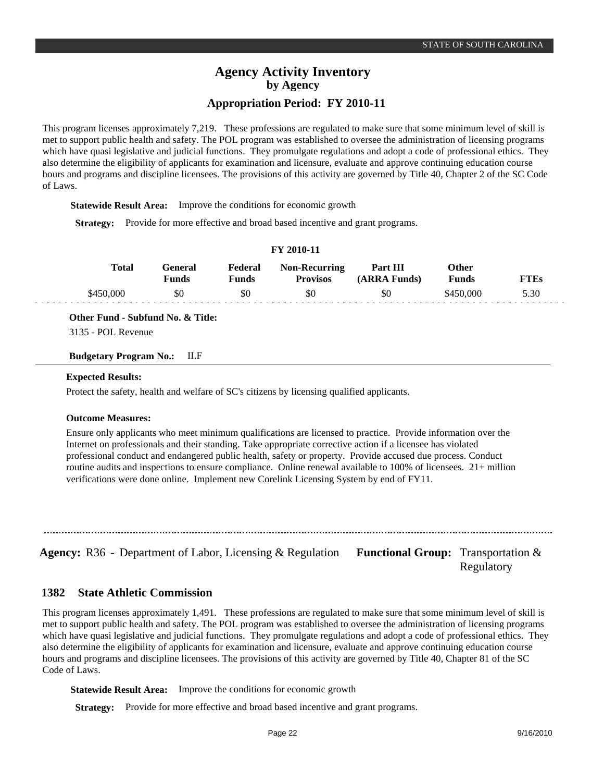This program licenses approximately 7,219. These professions are regulated to make sure that some minimum level of skill is met to support public health and safety. The POL program was established to oversee the administration of licensing programs which have quasi legislative and judicial functions. They promulgate regulations and adopt a code of professional ethics. They also determine the eligibility of applicants for examination and licensure, evaluate and approve continuing education course hours and programs and discipline licensees. The provisions of this activity are governed by Title 40, Chapter 2 of the SC Code of Laws.

**Statewide Result Area:** Improve the conditions for economic growth

**Strategy:** Provide for more effective and broad based incentive and grant programs.

| T 1 2010-11 |              |                  |                  |                                         |                          |                |             |  |
|-------------|--------------|------------------|------------------|-----------------------------------------|--------------------------|----------------|-------------|--|
|             | <b>Total</b> | General<br>Funds | Federal<br>Funds | <b>Non-Recurring</b><br><b>Provisos</b> | Part III<br>(ARRA Funds) | Other<br>Funds | <b>FTEs</b> |  |
|             | \$450.000    | \$0              | \$0              | \$0                                     | \$0                      | \$450,000      | 5.30        |  |

**FY 2010-11**

**Other Fund - Subfund No. & Title:**

3135 - POL Revenue

**Budgetary Program No.:** II.F

#### **Expected Results:**

Protect the safety, health and welfare of SC's citizens by licensing qualified applicants.

#### **Outcome Measures:**

Ensure only applicants who meet minimum qualifications are licensed to practice. Provide information over the Internet on professionals and their standing. Take appropriate corrective action if a licensee has violated professional conduct and endangered public health, safety or property. Provide accused due process. Conduct routine audits and inspections to ensure compliance. Online renewal available to 100% of licensees. 21+ million verifications were done online. Implement new Corelink Licensing System by end of FY11.

**Agency:** R36 - Department of Labor, Licensing & Regulation Functional Group: Transportation &

Regulatory

#### **State Athletic Commission 1382**

This program licenses approximately 1,491. These professions are regulated to make sure that some minimum level of skill is met to support public health and safety. The POL program was established to oversee the administration of licensing programs which have quasi legislative and judicial functions. They promulgate regulations and adopt a code of professional ethics. They also determine the eligibility of applicants for examination and licensure, evaluate and approve continuing education course hours and programs and discipline licensees. The provisions of this activity are governed by Title 40, Chapter 81 of the SC Code of Laws.

**Statewide Result Area:** Improve the conditions for economic growth

**Strategy:** Provide for more effective and broad based incentive and grant programs.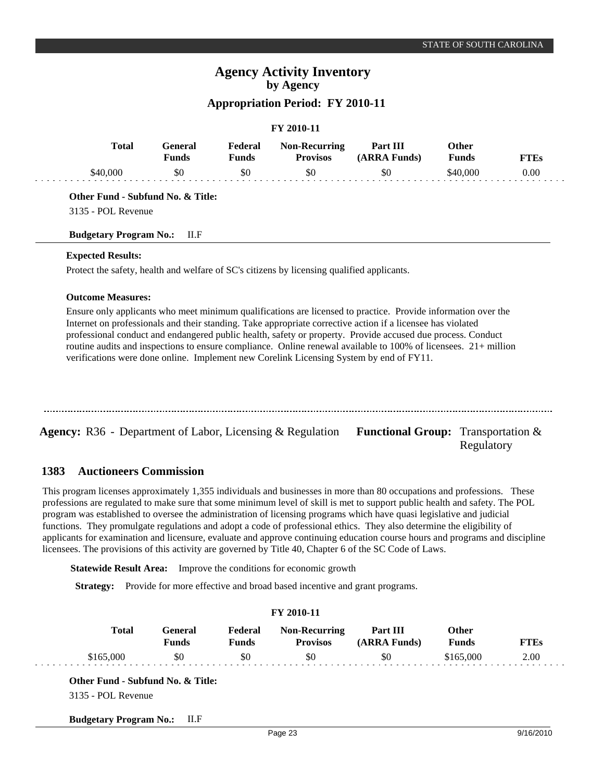# **FY 2010-11**

| <b>Total</b> | General<br><b>Funds</b> | Federal<br>Funds | <b>Non-Recurring</b><br><b>Provisos</b> | Part III<br>(ARRA Funds) | Other<br><b>Funds</b> | FTEs |
|--------------|-------------------------|------------------|-----------------------------------------|--------------------------|-----------------------|------|
| \$40,000     | \$0                     | \$0              | \$0                                     | \$0                      | \$40.000              | 0.00 |

**Other Fund - Subfund No. & Title:**

3135 - POL Revenue

#### **Budgetary Program No.:** II.F

### **Expected Results:**

Protect the safety, health and welfare of SC's citizens by licensing qualified applicants.

#### **Outcome Measures:**

Ensure only applicants who meet minimum qualifications are licensed to practice. Provide information over the Internet on professionals and their standing. Take appropriate corrective action if a licensee has violated professional conduct and endangered public health, safety or property. Provide accused due process. Conduct routine audits and inspections to ensure compliance. Online renewal available to 100% of licensees. 21+ million verifications were done online. Implement new Corelink Licensing System by end of FY11.

**Agency:** R36 - Department of Labor, Licensing & Regulation Functional Group: Transportation & Regulatory

#### **Auctioneers Commission 1383**

This program licenses approximately 1,355 individuals and businesses in more than 80 occupations and professions. These professions are regulated to make sure that some minimum level of skill is met to support public health and safety. The POL program was established to oversee the administration of licensing programs which have quasi legislative and judicial functions. They promulgate regulations and adopt a code of professional ethics. They also determine the eligibility of applicants for examination and licensure, evaluate and approve continuing education course hours and programs and discipline licensees. The provisions of this activity are governed by Title 40, Chapter 6 of the SC Code of Laws.

**Statewide Result Area:** Improve the conditions for economic growth

**Strategy:** Provide for more effective and broad based incentive and grant programs.

|              |                                |                         | FY 2010-11                              |                          |                              |             |
|--------------|--------------------------------|-------------------------|-----------------------------------------|--------------------------|------------------------------|-------------|
| <b>Total</b> | <b>General</b><br><b>Funds</b> | Federal<br><b>Funds</b> | <b>Non-Recurring</b><br><b>Provisos</b> | Part III<br>(ARRA Funds) | <b>Other</b><br><b>Funds</b> | <b>FTEs</b> |
| \$165,000    | \$0                            | \$0                     | \$0                                     | -\$0                     | \$165,000                    | 2.00        |

**Budgetary Program No.:** II.F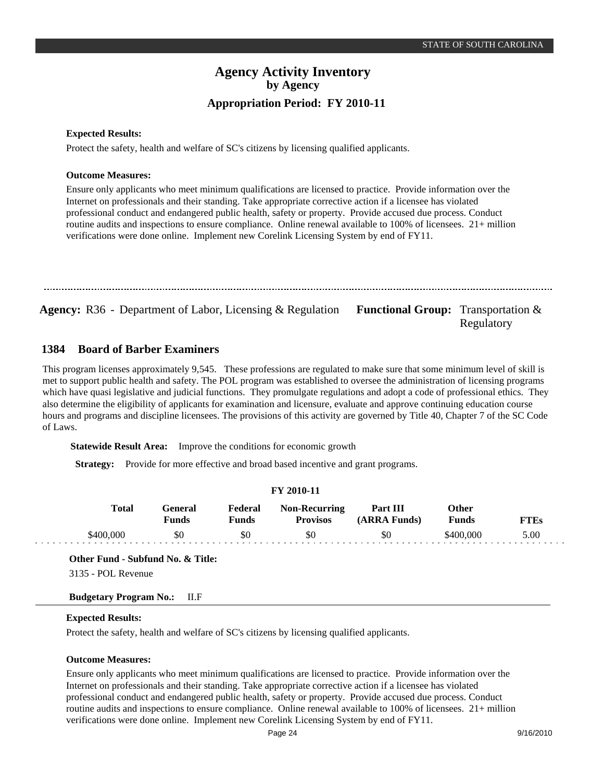Regulatory

## **Agency Activity Inventory by Agency Appropriation Period: FY 2010-11**

#### **Expected Results:**

Protect the safety, health and welfare of SC's citizens by licensing qualified applicants.

#### **Outcome Measures:**

Ensure only applicants who meet minimum qualifications are licensed to practice. Provide information over the Internet on professionals and their standing. Take appropriate corrective action if a licensee has violated professional conduct and endangered public health, safety or property. Provide accused due process. Conduct routine audits and inspections to ensure compliance. Online renewal available to 100% of licensees. 21+ million verifications were done online. Implement new Corelink Licensing System by end of FY11.

Agency: R36 - Department of Labor, Licensing & Regulation Functional Group: Transportation &

#### **Board of Barber Examiners 1384**

This program licenses approximately 9,545. These professions are regulated to make sure that some minimum level of skill is met to support public health and safety. The POL program was established to oversee the administration of licensing programs which have quasi legislative and judicial functions. They promulgate regulations and adopt a code of professional ethics. They also determine the eligibility of applicants for examination and licensure, evaluate and approve continuing education course hours and programs and discipline licensees. The provisions of this activity are governed by Title 40, Chapter 7 of the SC Code of Laws.

**Statewide Result Area:** Improve the conditions for economic growth

**Strategy:** Provide for more effective and broad based incentive and grant programs.

#### **FY 2010-11**

| <b>Total</b> | General<br>Funds | Federal<br>Funds | <b>Non-Recurring</b><br><b>Provisos</b> | Part III<br>(ARRA Funds) | Other<br><b>Funds</b> | FTEs |
|--------------|------------------|------------------|-----------------------------------------|--------------------------|-----------------------|------|
| \$400,000    | \$0              | \$0              | \$0                                     | \$0                      | \$400,000             | 5.00 |

**Other Fund - Subfund No. & Title:**

3135 - POL Revenue

### **Budgetary Program No.:** II.F

### **Expected Results:**

Protect the safety, health and welfare of SC's citizens by licensing qualified applicants.

#### **Outcome Measures:**

Ensure only applicants who meet minimum qualifications are licensed to practice. Provide information over the Internet on professionals and their standing. Take appropriate corrective action if a licensee has violated professional conduct and endangered public health, safety or property. Provide accused due process. Conduct routine audits and inspections to ensure compliance. Online renewal available to 100% of licensees. 21+ million verifications were done online. Implement new Corelink Licensing System by end of FY11.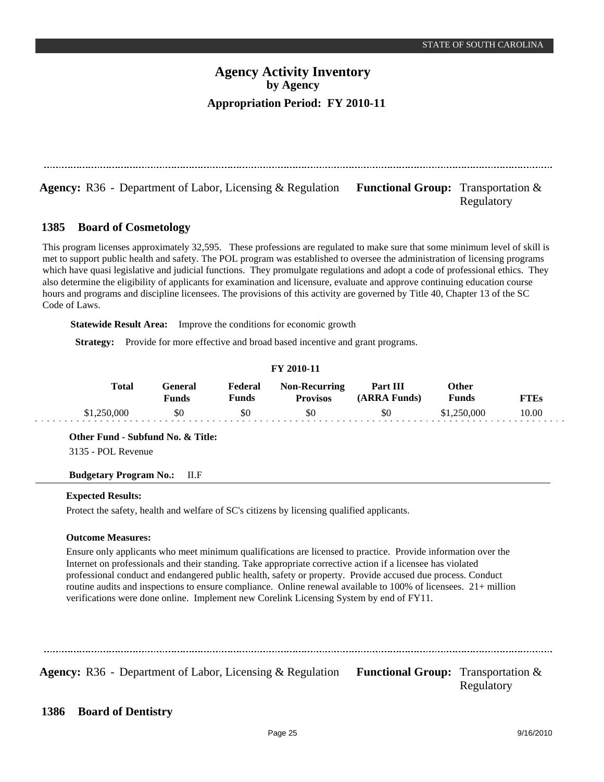**Agency:** R36 - Department of Labor, Licensing & Regulation Functional Group: Transportation & Regulatory

#### **Board of Cosmetology 1385**

This program licenses approximately 32,595. These professions are regulated to make sure that some minimum level of skill is met to support public health and safety. The POL program was established to oversee the administration of licensing programs which have quasi legislative and judicial functions. They promulgate regulations and adopt a code of professional ethics. They also determine the eligibility of applicants for examination and licensure, evaluate and approve continuing education course hours and programs and discipline licensees. The provisions of this activity are governed by Title 40, Chapter 13 of the SC Code of Laws.

**Statewide Result Area:** Improve the conditions for economic growth

**Strategy:** Provide for more effective and broad based incentive and grant programs.

| I 1 2010-11  |                  |                         |                                         |                          |                |             |  |  |
|--------------|------------------|-------------------------|-----------------------------------------|--------------------------|----------------|-------------|--|--|
| <b>Total</b> | General<br>Funds | Federal<br><b>Funds</b> | <b>Non-Recurring</b><br><b>Provisos</b> | Part III<br>(ARRA Funds) | Other<br>Funds | <b>FTEs</b> |  |  |
| \$1,250,000  | \$0              | \$0                     | \$0                                     | \$0                      | \$1,250,000    | 10.00       |  |  |

**FY 2010-11**

**Other Fund - Subfund No. & Title:**

3135 - POL Revenue

### **Budgetary Program No.:** II.F

#### **Expected Results:**

Protect the safety, health and welfare of SC's citizens by licensing qualified applicants.

### **Outcome Measures:**

Ensure only applicants who meet minimum qualifications are licensed to practice. Provide information over the Internet on professionals and their standing. Take appropriate corrective action if a licensee has violated professional conduct and endangered public health, safety or property. Provide accused due process. Conduct routine audits and inspections to ensure compliance. Online renewal available to 100% of licensees. 21+ million verifications were done online. Implement new Corelink Licensing System by end of FY11.

**Agency:** R36 - Department of Labor, Licensing & Regulation Functional Group: Transportation & Regulatory

#### **Board of Dentistry 1386**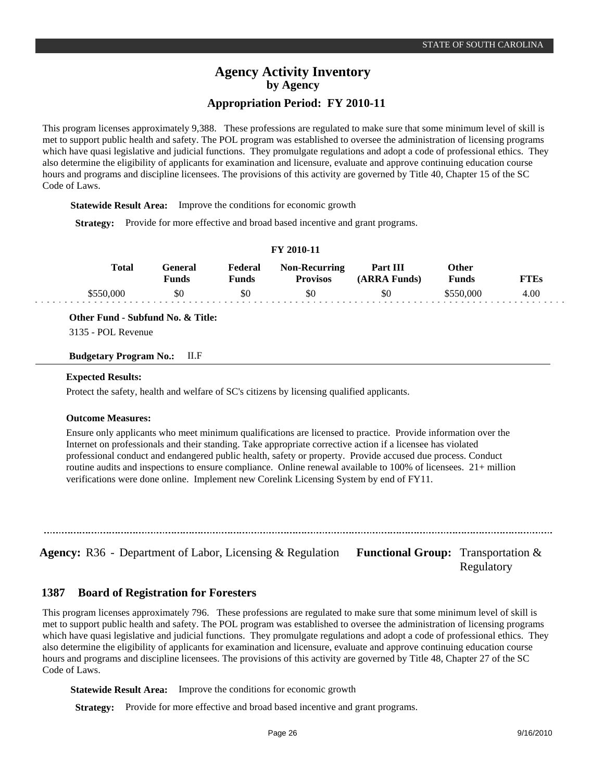This program licenses approximately 9,388. These professions are regulated to make sure that some minimum level of skill is met to support public health and safety. The POL program was established to oversee the administration of licensing programs which have quasi legislative and judicial functions. They promulgate regulations and adopt a code of professional ethics. They also determine the eligibility of applicants for examination and licensure, evaluate and approve continuing education course hours and programs and discipline licensees. The provisions of this activity are governed by Title 40, Chapter 15 of the SC Code of Laws.

**Statewide Result Area:** Improve the conditions for economic growth

**Strategy:** Provide for more effective and broad based incentive and grant programs.

|  | FY 2010-11 |
|--|------------|
|--|------------|

| Total     | <del>`e</del> neral<br>Funds | Federal<br>Funds | <b>Non-Recurring</b><br><b>Provisos</b> | Part III<br>(ARRA Funds) | Other<br><b>Funds</b> |      |
|-----------|------------------------------|------------------|-----------------------------------------|--------------------------|-----------------------|------|
| \$550,000 | \$0                          | \$0              | \$0                                     | \$0                      | \$550.000             | 4.00 |

**Other Fund - Subfund No. & Title:**

3135 - POL Revenue

**Budgetary Program No.:** II.F

#### **Expected Results:**

Protect the safety, health and welfare of SC's citizens by licensing qualified applicants.

#### **Outcome Measures:**

Ensure only applicants who meet minimum qualifications are licensed to practice. Provide information over the Internet on professionals and their standing. Take appropriate corrective action if a licensee has violated professional conduct and endangered public health, safety or property. Provide accused due process. Conduct routine audits and inspections to ensure compliance. Online renewal available to 100% of licensees. 21+ million verifications were done online. Implement new Corelink Licensing System by end of FY11.

**Agency:** R36 - Department of Labor, Licensing & Regulation Functional Group: Transportation &

Regulatory

#### **Board of Registration for Foresters 1387**

This program licenses approximately 796. These professions are regulated to make sure that some minimum level of skill is met to support public health and safety. The POL program was established to oversee the administration of licensing programs which have quasi legislative and judicial functions. They promulgate regulations and adopt a code of professional ethics. They also determine the eligibility of applicants for examination and licensure, evaluate and approve continuing education course hours and programs and discipline licensees. The provisions of this activity are governed by Title 48, Chapter 27 of the SC Code of Laws.

**Statewide Result Area:** Improve the conditions for economic growth

**Strategy:** Provide for more effective and broad based incentive and grant programs.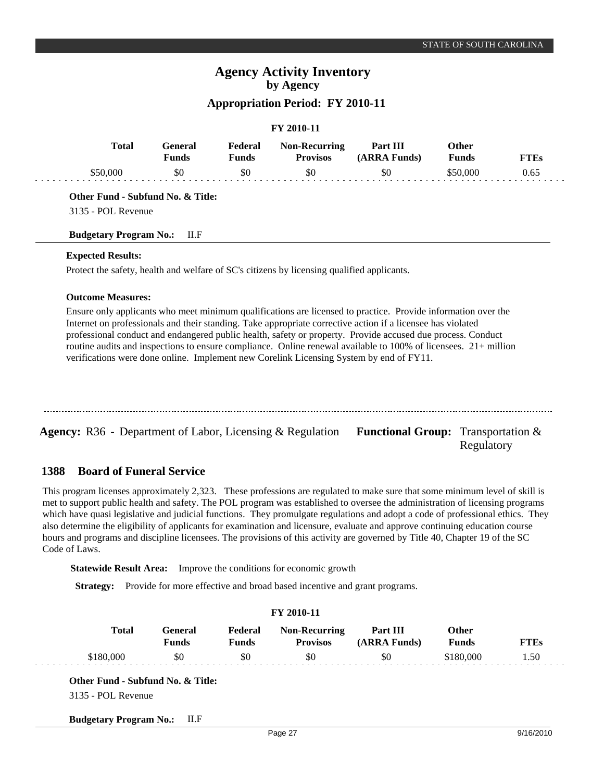# **FY 2010-11**

| Total    | General<br><b>Funds</b> | Federal<br>Funds | <b>Non-Recurring</b><br><b>Provisos</b> | Part III<br>(ARRA Funds) | Other<br><b>Funds</b> | FTEs |
|----------|-------------------------|------------------|-----------------------------------------|--------------------------|-----------------------|------|
| \$50,000 | \$0                     | -\$0             | \$0                                     | \$0                      | \$50.000              | 0.65 |

**Other Fund - Subfund No. & Title:**

3135 - POL Revenue

### **Budgetary Program No.:** II.F

### **Expected Results:**

Protect the safety, health and welfare of SC's citizens by licensing qualified applicants.

### **Outcome Measures:**

Ensure only applicants who meet minimum qualifications are licensed to practice. Provide information over the Internet on professionals and their standing. Take appropriate corrective action if a licensee has violated professional conduct and endangered public health, safety or property. Provide accused due process. Conduct routine audits and inspections to ensure compliance. Online renewal available to 100% of licensees. 21+ million verifications were done online. Implement new Corelink Licensing System by end of FY11.

Agency: R36 - Department of Labor, Licensing & Regulation Functional Group: Transportation & Regulatory

#### **Board of Funeral Service 1388**

This program licenses approximately 2,323. These professions are regulated to make sure that some minimum level of skill is met to support public health and safety. The POL program was established to oversee the administration of licensing programs which have quasi legislative and judicial functions. They promulgate regulations and adopt a code of professional ethics. They also determine the eligibility of applicants for examination and licensure, evaluate and approve continuing education course hours and programs and discipline licensees. The provisions of this activity are governed by Title 40, Chapter 19 of the SC Code of Laws.

**Statewide Result Area:** Improve the conditions for economic growth

**Strategy:** Provide for more effective and broad based incentive and grant programs.

| FY 2010-11   |                                |                         |                                         |                          |                              |             |  |  |  |
|--------------|--------------------------------|-------------------------|-----------------------------------------|--------------------------|------------------------------|-------------|--|--|--|
| <b>Total</b> | <b>General</b><br><b>Funds</b> | Federal<br><b>Funds</b> | <b>Non-Recurring</b><br><b>Provisos</b> | Part III<br>(ARRA Funds) | <b>Other</b><br><b>Funds</b> | <b>FTEs</b> |  |  |  |
| \$180,000    | \$0                            | \$0                     | \$0                                     | \$0                      | \$180,000                    | 1.50        |  |  |  |

**Budgetary Program No.:** II.F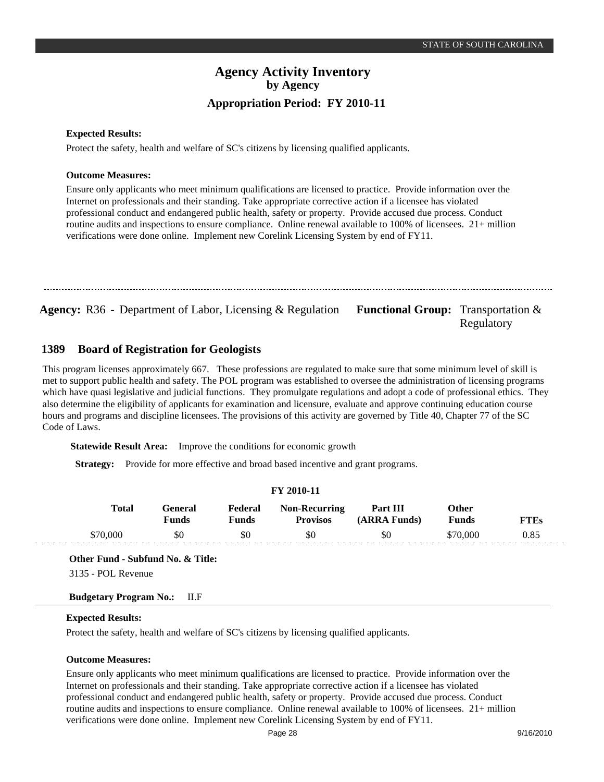Regulatory

## **Agency Activity Inventory by Agency Appropriation Period: FY 2010-11**

#### **Expected Results:**

Protect the safety, health and welfare of SC's citizens by licensing qualified applicants.

#### **Outcome Measures:**

Ensure only applicants who meet minimum qualifications are licensed to practice. Provide information over the Internet on professionals and their standing. Take appropriate corrective action if a licensee has violated professional conduct and endangered public health, safety or property. Provide accused due process. Conduct routine audits and inspections to ensure compliance. Online renewal available to 100% of licensees. 21+ million verifications were done online. Implement new Corelink Licensing System by end of FY11.

Agency: R36 - Department of Labor, Licensing & Regulation Functional Group: Transportation &

#### **Board of Registration for Geologists 1389**

This program licenses approximately 667. These professions are regulated to make sure that some minimum level of skill is met to support public health and safety. The POL program was established to oversee the administration of licensing programs which have quasi legislative and judicial functions. They promulgate regulations and adopt a code of professional ethics. They also determine the eligibility of applicants for examination and licensure, evaluate and approve continuing education course hours and programs and discipline licensees. The provisions of this activity are governed by Title 40, Chapter 77 of the SC Code of Laws.

**Statewide Result Area:** Improve the conditions for economic growth

**Strategy:** Provide for more effective and broad based incentive and grant programs.

#### **FY 2010-11**

| <b>Total</b> | General<br>Funds | Federal<br>Funds | <b>Non-Recurring</b><br><b>Provisos</b> | Part III<br>(ARRA Funds) | Other<br><b>Funds</b> | FTEs |
|--------------|------------------|------------------|-----------------------------------------|--------------------------|-----------------------|------|
| \$70,000     | \$0              | \$0              | \$0                                     | \$0                      | \$70.000              | 0.85 |

**Other Fund - Subfund No. & Title:**

3135 - POL Revenue

### **Budgetary Program No.:** II.F

### **Expected Results:**

Protect the safety, health and welfare of SC's citizens by licensing qualified applicants.

#### **Outcome Measures:**

Ensure only applicants who meet minimum qualifications are licensed to practice. Provide information over the Internet on professionals and their standing. Take appropriate corrective action if a licensee has violated professional conduct and endangered public health, safety or property. Provide accused due process. Conduct routine audits and inspections to ensure compliance. Online renewal available to 100% of licensees. 21+ million verifications were done online. Implement new Corelink Licensing System by end of FY11.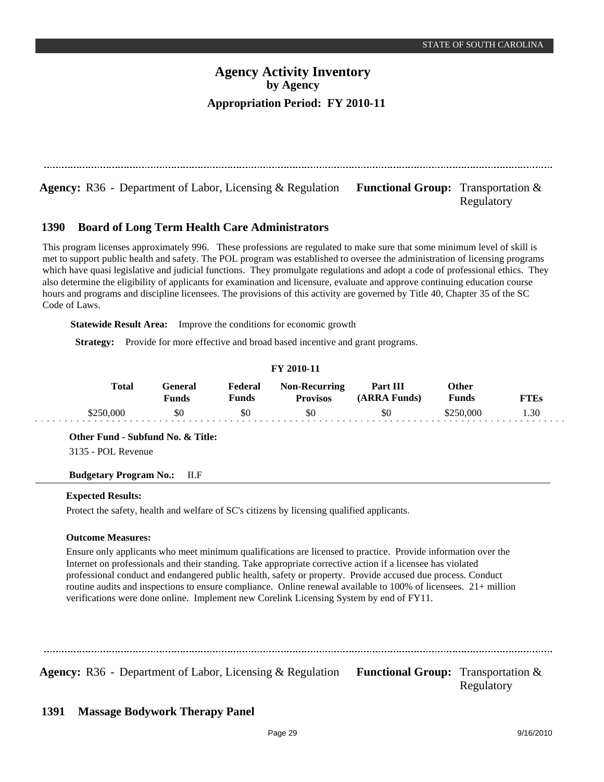**Agency:** R36 - Department of Labor, Licensing & Regulation Functional Group: Transportation &

## Regulatory

#### **Board of Long Term Health Care Administrators 1390**

This program licenses approximately 996. These professions are regulated to make sure that some minimum level of skill is met to support public health and safety. The POL program was established to oversee the administration of licensing programs which have quasi legislative and judicial functions. They promulgate regulations and adopt a code of professional ethics. They also determine the eligibility of applicants for examination and licensure, evaluate and approve continuing education course hours and programs and discipline licensees. The provisions of this activity are governed by Title 40, Chapter 35 of the SC Code of Laws.

**Statewide Result Area:** Improve the conditions for economic growth

**Strategy:** Provide for more effective and broad based incentive and grant programs.

| T I 2010-11  |                         |                  |                                         |                          |                       |             |  |  |  |  |
|--------------|-------------------------|------------------|-----------------------------------------|--------------------------|-----------------------|-------------|--|--|--|--|
| <b>Total</b> | General<br><b>Funds</b> | Federal<br>Funds | <b>Non-Recurring</b><br><b>Provisos</b> | Part III<br>(ARRA Funds) | Other<br><b>Funds</b> | <b>FTEs</b> |  |  |  |  |
| \$250,000    | \$0                     | \$0              | \$0                                     | \$0                      | \$250,000             | 1.30        |  |  |  |  |

**FY 2010-11**

**Other Fund - Subfund No. & Title:**

3135 - POL Revenue

### **Budgetary Program No.:** II.F

### **Expected Results:**

Protect the safety, health and welfare of SC's citizens by licensing qualified applicants.

### **Outcome Measures:**

Ensure only applicants who meet minimum qualifications are licensed to practice. Provide information over the Internet on professionals and their standing. Take appropriate corrective action if a licensee has violated professional conduct and endangered public health, safety or property. Provide accused due process. Conduct routine audits and inspections to ensure compliance. Online renewal available to 100% of licensees. 21+ million verifications were done online. Implement new Corelink Licensing System by end of FY11.

Agency: R36 - Department of Labor, Licensing & Regulation Functional Group: Transportation & Regulatory

#### **Massage Bodywork Therapy Panel 1391**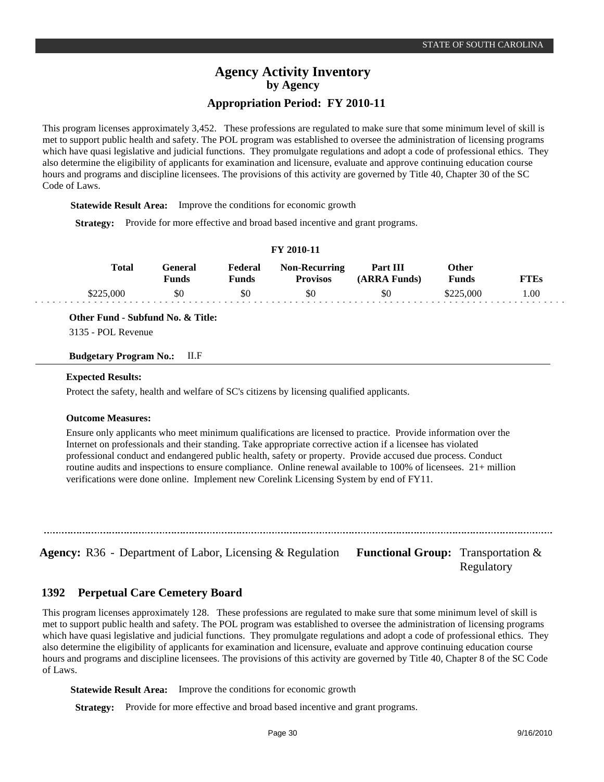This program licenses approximately 3,452. These professions are regulated to make sure that some minimum level of skill is met to support public health and safety. The POL program was established to oversee the administration of licensing programs which have quasi legislative and judicial functions. They promulgate regulations and adopt a code of professional ethics. They also determine the eligibility of applicants for examination and licensure, evaluate and approve continuing education course hours and programs and discipline licensees. The provisions of this activity are governed by Title 40, Chapter 30 of the SC Code of Laws.

**Statewide Result Area:** Improve the conditions for economic growth

**Strategy:** Provide for more effective and broad based incentive and grant programs.

| FY 2010-11 |  |  |  |
|------------|--|--|--|
|------------|--|--|--|

| <b>Total</b> | eneral:<br><b>Funds</b> | Federal<br>$F$ unds | <b>Non-Recurring</b><br><b>Provisos</b> | Part III<br>(ARRA Funds) | <b>Other</b><br><b>Funds</b> |      |
|--------------|-------------------------|---------------------|-----------------------------------------|--------------------------|------------------------------|------|
| \$225,000    | SC                      | \$0                 | \$0                                     | \$0                      | 000.                         | 1.00 |

**Other Fund - Subfund No. & Title:**

3135 - POL Revenue

**Budgetary Program No.:** II.F

#### **Expected Results:**

Protect the safety, health and welfare of SC's citizens by licensing qualified applicants.

#### **Outcome Measures:**

Ensure only applicants who meet minimum qualifications are licensed to practice. Provide information over the Internet on professionals and their standing. Take appropriate corrective action if a licensee has violated professional conduct and endangered public health, safety or property. Provide accused due process. Conduct routine audits and inspections to ensure compliance. Online renewal available to 100% of licensees. 21+ million verifications were done online. Implement new Corelink Licensing System by end of FY11.

**Agency:** R36 - Department of Labor, Licensing & Regulation Functional Group: Transportation &

Regulatory

#### **Perpetual Care Cemetery Board 1392**

This program licenses approximately 128. These professions are regulated to make sure that some minimum level of skill is met to support public health and safety. The POL program was established to oversee the administration of licensing programs which have quasi legislative and judicial functions. They promulgate regulations and adopt a code of professional ethics. They also determine the eligibility of applicants for examination and licensure, evaluate and approve continuing education course hours and programs and discipline licensees. The provisions of this activity are governed by Title 40, Chapter 8 of the SC Code of Laws.

**Statewide Result Area:** Improve the conditions for economic growth

**Strategy:** Provide for more effective and broad based incentive and grant programs.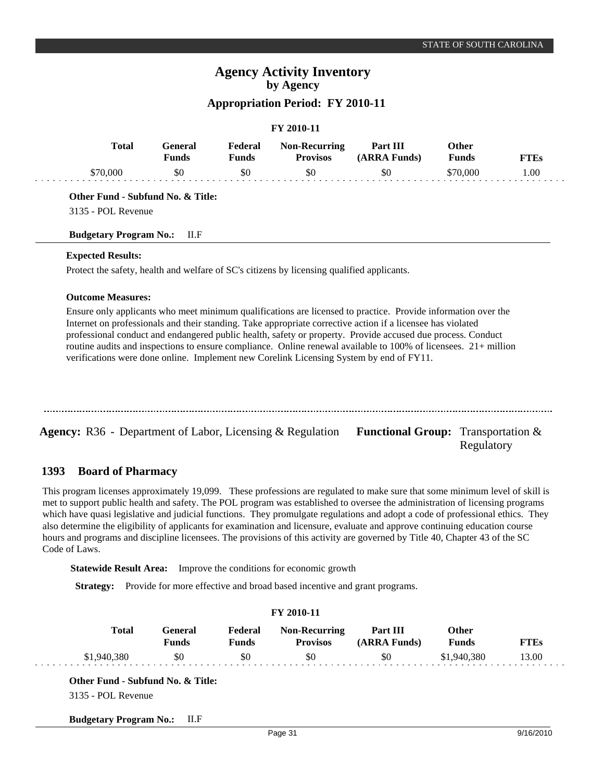## **FY 2010-11**

| Total | General<br><b>Funds</b> | Federal<br>Funds | <b>Non-Recurring</b><br><b>Provisos</b> | Part III<br>(ARRA Funds) | Other<br>Funds | TTEs |
|-------|-------------------------|------------------|-----------------------------------------|--------------------------|----------------|------|
|       | \$0                     | \$0              |                                         | \$0                      | ).000          | .00  |

**Other Fund - Subfund No. & Title:**

3135 - POL Revenue

#### **Budgetary Program No.:** II.F

### **Expected Results:**

Protect the safety, health and welfare of SC's citizens by licensing qualified applicants.

### **Outcome Measures:**

Ensure only applicants who meet minimum qualifications are licensed to practice. Provide information over the Internet on professionals and their standing. Take appropriate corrective action if a licensee has violated professional conduct and endangered public health, safety or property. Provide accused due process. Conduct routine audits and inspections to ensure compliance. Online renewal available to 100% of licensees. 21+ million verifications were done online. Implement new Corelink Licensing System by end of FY11.

| <b>Agency:</b> R36 - Department of Labor, Licensing $\&$ Regulation | <b>Functional Group:</b> Transportation $\&$<br>Regulatory |
|---------------------------------------------------------------------|------------------------------------------------------------|

#### **Board of Pharmacy 1393**

This program licenses approximately 19,099. These professions are regulated to make sure that some minimum level of skill is met to support public health and safety. The POL program was established to oversee the administration of licensing programs which have quasi legislative and judicial functions. They promulgate regulations and adopt a code of professional ethics. They also determine the eligibility of applicants for examination and licensure, evaluate and approve continuing education course hours and programs and discipline licensees. The provisions of this activity are governed by Title 40, Chapter 43 of the SC Code of Laws.

**Statewide Result Area:** Improve the conditions for economic growth

**Strategy:** Provide for more effective and broad based incentive and grant programs.

| FY 2010-11   |                                |                         |                                         |                          |                              |             |  |  |  |
|--------------|--------------------------------|-------------------------|-----------------------------------------|--------------------------|------------------------------|-------------|--|--|--|
| <b>Total</b> | <b>General</b><br><b>Funds</b> | Federal<br><b>Funds</b> | <b>Non-Recurring</b><br><b>Provisos</b> | Part III<br>(ARRA Funds) | <b>Other</b><br><b>Funds</b> | <b>FTEs</b> |  |  |  |
| \$1,940,380  | \$0                            | \$0                     | \$0                                     | \$0                      | \$1,940,380                  | 13.00       |  |  |  |

**Budgetary Program No.:** II.F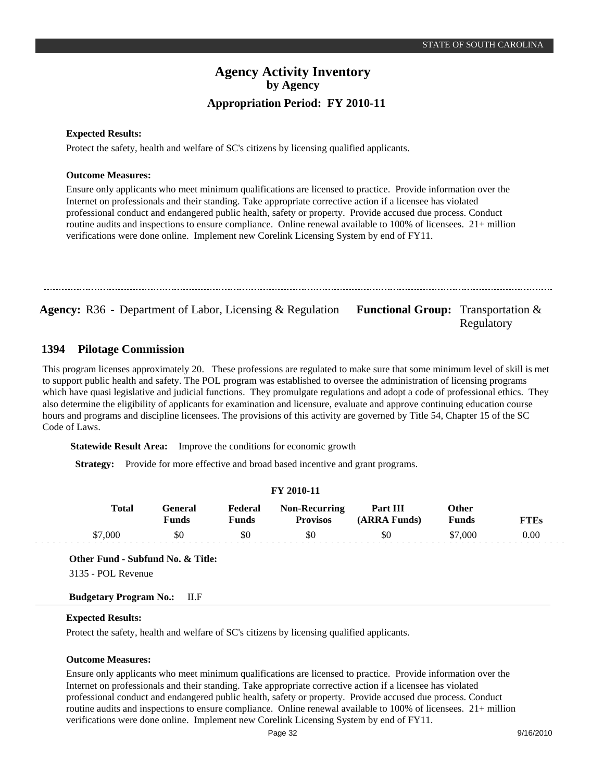Regulatory

## **Agency Activity Inventory by Agency Appropriation Period: FY 2010-11**

### **Expected Results:**

Protect the safety, health and welfare of SC's citizens by licensing qualified applicants.

#### **Outcome Measures:**

Ensure only applicants who meet minimum qualifications are licensed to practice. Provide information over the Internet on professionals and their standing. Take appropriate corrective action if a licensee has violated professional conduct and endangered public health, safety or property. Provide accused due process. Conduct routine audits and inspections to ensure compliance. Online renewal available to 100% of licensees. 21+ million verifications were done online. Implement new Corelink Licensing System by end of FY11.

Agency: R36 - Department of Labor, Licensing & Regulation Functional Group: Transportation &

#### **Pilotage Commission 1394**

This program licenses approximately 20. These professions are regulated to make sure that some minimum level of skill is met to support public health and safety. The POL program was established to oversee the administration of licensing programs which have quasi legislative and judicial functions. They promulgate regulations and adopt a code of professional ethics. They also determine the eligibility of applicants for examination and licensure, evaluate and approve continuing education course hours and programs and discipline licensees. The provisions of this activity are governed by Title 54, Chapter 15 of the SC Code of Laws.

**Statewide Result Area:** Improve the conditions for economic growth

**Strategy:** Provide for more effective and broad based incentive and grant programs.

#### **FY 2010-11**

| <b>Total</b> | Feneral<br>Funds | Federal<br>Funds | <b>Non-Recurring</b><br><b>Provisos</b> | Part III<br>(ARRA Funds) | Other<br><b>Funds</b> | TTEs |
|--------------|------------------|------------------|-----------------------------------------|--------------------------|-----------------------|------|
| \$7.000      | \$0              | \$0              | \$0                                     | \$0                      | \$7,000               | 0.00 |

**Other Fund - Subfund No. & Title:**

3135 - POL Revenue

### **Budgetary Program No.:** II.F

### **Expected Results:**

Protect the safety, health and welfare of SC's citizens by licensing qualified applicants.

#### **Outcome Measures:**

Ensure only applicants who meet minimum qualifications are licensed to practice. Provide information over the Internet on professionals and their standing. Take appropriate corrective action if a licensee has violated professional conduct and endangered public health, safety or property. Provide accused due process. Conduct routine audits and inspections to ensure compliance. Online renewal available to 100% of licensees. 21+ million verifications were done online. Implement new Corelink Licensing System by end of FY11.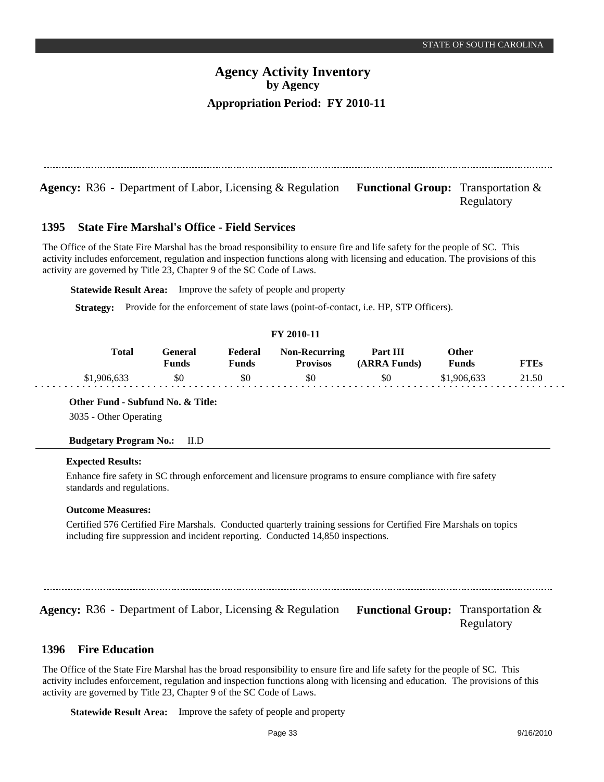**Agency:** R36 - Department of Labor, Licensing & Regulation Functional Group: Transportation & Regulatory

#### **State Fire Marshal's Office - Field Services 1395**

The Office of the State Fire Marshal has the broad responsibility to ensure fire and life safety for the people of SC. This activity includes enforcement, regulation and inspection functions along with licensing and education. The provisions of this activity are governed by Title 23, Chapter 9 of the SC Code of Laws.

**Statewide Result Area:** Improve the safety of people and property

**Strategy:** Provide for the enforcement of state laws (point-of-contact, i.e. HP, STP Officers).

### **FY 2010-11**

| Total       | General<br>Funds | Federal<br>Funds | <b>Non-Recurring</b><br><b>Provisos</b> | Part III<br>(ARRA Funds) | Other<br><b>Funds</b> | FTEs  |
|-------------|------------------|------------------|-----------------------------------------|--------------------------|-----------------------|-------|
| \$1,906,633 | \$0              | \$0              |                                         | \$0                      | \$1,906,633           | 21.50 |

**Other Fund - Subfund No. & Title:**

3035 - Other Operating

**Budgetary Program No.:** II.D

### **Expected Results:**

Enhance fire safety in SC through enforcement and licensure programs to ensure compliance with fire safety standards and regulations.

### **Outcome Measures:**

Certified 576 Certified Fire Marshals. Conducted quarterly training sessions for Certified Fire Marshals on topics including fire suppression and incident reporting. Conducted 14,850 inspections.

**Agency:** R36 - Department of Labor, Licensing & Regulation Functional Group: Transportation &

Regulatory

#### **Fire Education 1396**

The Office of the State Fire Marshal has the broad responsibility to ensure fire and life safety for the people of SC. This activity includes enforcement, regulation and inspection functions along with licensing and education. The provisions of this activity are governed by Title 23, Chapter 9 of the SC Code of Laws.

**Statewide Result Area:** Improve the safety of people and property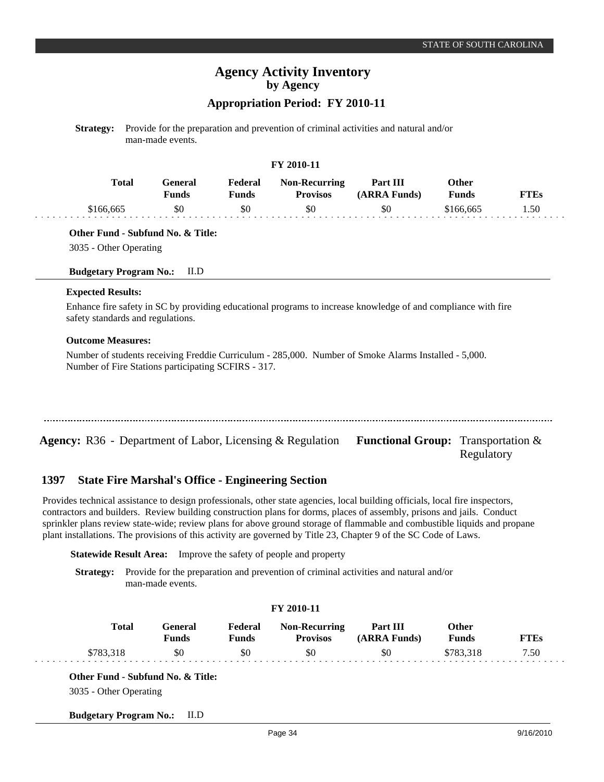# **Agency Activity Inventory by Agency**

## **Appropriation Period: FY 2010-11**

**Strategy:** Provide for the preparation and prevention of criminal activities and natural and/or man-made events.

### **FY 2010-11**

| Total     | General<br>Funds | Federal<br>Funds | <b>Non-Recurring</b><br><b>Provisos</b> | Part III<br>(ARRA Funds) | Other<br><b>Funds</b> | FTEs |
|-----------|------------------|------------------|-----------------------------------------|--------------------------|-----------------------|------|
| \$166,665 | \$0              | \$0              | \$0                                     | \$0                      | \$166,665             | 1.50 |

**Other Fund - Subfund No. & Title:**

3035 - Other Operating

#### **Budgetary Program No.:** II.D

#### **Expected Results:**

Enhance fire safety in SC by providing educational programs to increase knowledge of and compliance with fire safety standards and regulations.

#### **Outcome Measures:**

Number of students receiving Freddie Curriculum - 285,000. Number of Smoke Alarms Installed - 5,000. Number of Fire Stations participating SCFIRS - 317.

| <b>Agency:</b> R36 - Department of Labor, Licensing & Regulation <b>Functional Group:</b> Transportation & |            |
|------------------------------------------------------------------------------------------------------------|------------|
|                                                                                                            | Regulatory |

#### **State Fire Marshal's Office - Engineering Section 1397**

Provides technical assistance to design professionals, other state agencies, local building officials, local fire inspectors, contractors and builders. Review building construction plans for dorms, places of assembly, prisons and jails. Conduct sprinkler plans review state-wide; review plans for above ground storage of flammable and combustible liquids and propane plant installations. The provisions of this activity are governed by Title 23, Chapter 9 of the SC Code of Laws.

**Statewide Result Area:** Improve the safety of people and property

**Strategy:** Provide for the preparation and prevention of criminal activities and natural and/or man-made events.

|              |                         |                         | FY 2010-11                              |                          |                              |             |
|--------------|-------------------------|-------------------------|-----------------------------------------|--------------------------|------------------------------|-------------|
| <b>Total</b> | General<br><b>Funds</b> | Federal<br><b>Funds</b> | <b>Non-Recurring</b><br><b>Provisos</b> | Part III<br>(ARRA Funds) | <b>Other</b><br><b>Funds</b> | <b>FTEs</b> |
| \$783,318    | \$0                     | \$0                     | \$0                                     | \$0                      | \$783,318                    | 7.50        |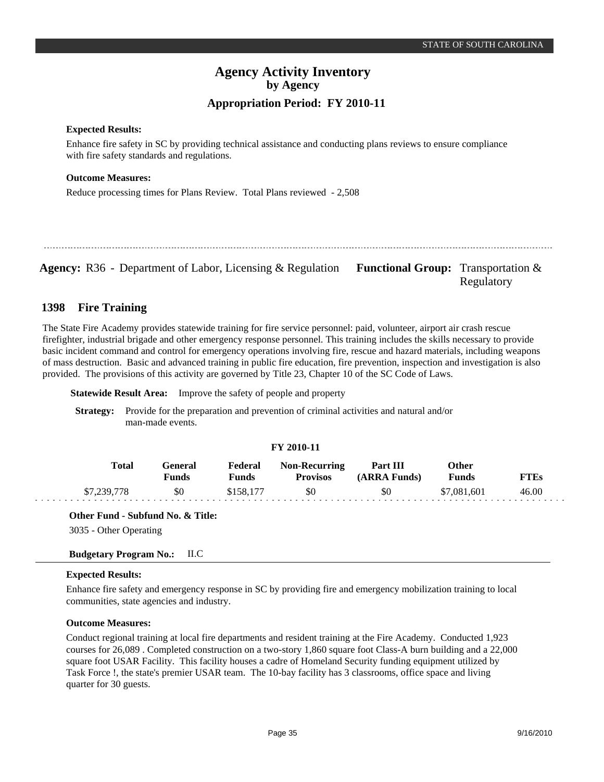### **Expected Results:**

Enhance fire safety in SC by providing technical assistance and conducting plans reviews to ensure compliance with fire safety standards and regulations.

### **Outcome Measures:**

Reduce processing times for Plans Review. Total Plans reviewed - 2,508

Agency: R36 - Department of Labor, Licensing & Regulation Functional Group: Transportation & Regulatory

#### **Fire Training 1398**

The State Fire Academy provides statewide training for fire service personnel: paid, volunteer, airport air crash rescue firefighter, industrial brigade and other emergency response personnel. This training includes the skills necessary to provide basic incident command and control for emergency operations involving fire, rescue and hazard materials, including weapons of mass destruction. Basic and advanced training in public fire education, fire prevention, inspection and investigation is also provided. The provisions of this activity are governed by Title 23, Chapter 10 of the SC Code of Laws.

**Statewide Result Area:** Improve the safety of people and property

**Strategy:** Provide for the preparation and prevention of criminal activities and natural and/or man-made events.

### **FY 2010-11**

| Total       | General<br>Funds | Federal<br>Funds | <b>Non-Recurring</b><br><b>Provisos</b> | Part III<br>(ARRA Funds) | Other<br><b>Funds</b> | FTEs  |
|-------------|------------------|------------------|-----------------------------------------|--------------------------|-----------------------|-------|
| \$7,239,778 | \$0              | \$158,177        | \$0                                     | \$0                      | \$7,081,601           | 46.00 |

**Other Fund - Subfund No. & Title:**

3035 - Other Operating

**Budgetary Program No.:** II.C

### **Expected Results:**

Enhance fire safety and emergency response in SC by providing fire and emergency mobilization training to local communities, state agencies and industry.

### **Outcome Measures:**

Conduct regional training at local fire departments and resident training at the Fire Academy. Conducted 1,923 courses for 26,089 . Completed construction on a two-story 1,860 square foot Class-A burn building and a 22,000 square foot USAR Facility. This facility houses a cadre of Homeland Security funding equipment utilized by Task Force !, the state's premier USAR team. The 10-bay facility has 3 classrooms, office space and living quarter for 30 guests.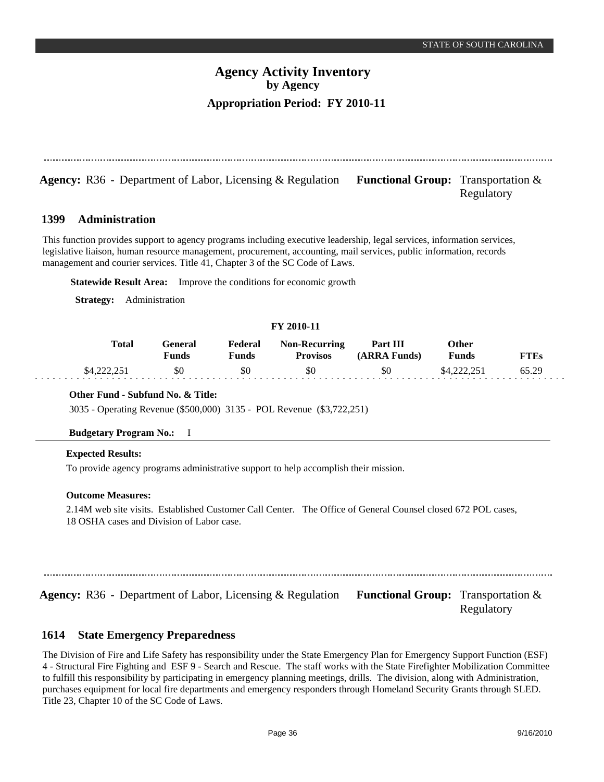Regulatory

## **Agency Activity Inventory by Agency Appropriation Period: FY 2010-11**

**Agency:** R36 - Department of Labor, Licensing & Regulation Functional Group: Transportation &

#### **Administration 1399**

This function provides support to agency programs including executive leadership, legal services, information services, legislative liaison, human resource management, procurement, accounting, mail services, public information, records management and courier services. Title 41, Chapter 3 of the SC Code of Laws.

**Statewide Result Area:** Improve the conditions for economic growth

**Strategy:** Administration

### **FY 2010-11**

| <b>Total</b> | General<br>Funds | Federal<br><b>Funds</b> | <b>Non-Recurring</b><br><b>Provisos</b> | Part III<br>(ARRA Funds) | Other<br><b>Funds</b> | FTEs  |
|--------------|------------------|-------------------------|-----------------------------------------|--------------------------|-----------------------|-------|
| \$4,222,251  | \$0              | \$0                     | \$0                                     | \$0                      | \$4,222,251           | 65.29 |

### **Other Fund - Subfund No. & Title:**

3035 - Operating Revenue (\$500,000) 3135 - POL Revenue (\$3,722,251)

### **Budgetary Program No.:** I

### **Expected Results:**

To provide agency programs administrative support to help accomplish their mission.

#### **Outcome Measures:**

2.14M web site visits. Established Customer Call Center. The Office of General Counsel closed 672 POL cases, 18 OSHA cases and Division of Labor case.

**Agency:** R36 - Department of Labor, Licensing & Regulation Functional Group: Transportation & Regulatory

#### **State Emergency Preparedness 1614**

The Division of Fire and Life Safety has responsibility under the State Emergency Plan for Emergency Support Function (ESF) 4 - Structural Fire Fighting and ESF 9 - Search and Rescue. The staff works with the State Firefighter Mobilization Committee to fulfill this responsibility by participating in emergency planning meetings, drills. The division, along with Administration, purchases equipment for local fire departments and emergency responders through Homeland Security Grants through SLED. Title 23, Chapter 10 of the SC Code of Laws.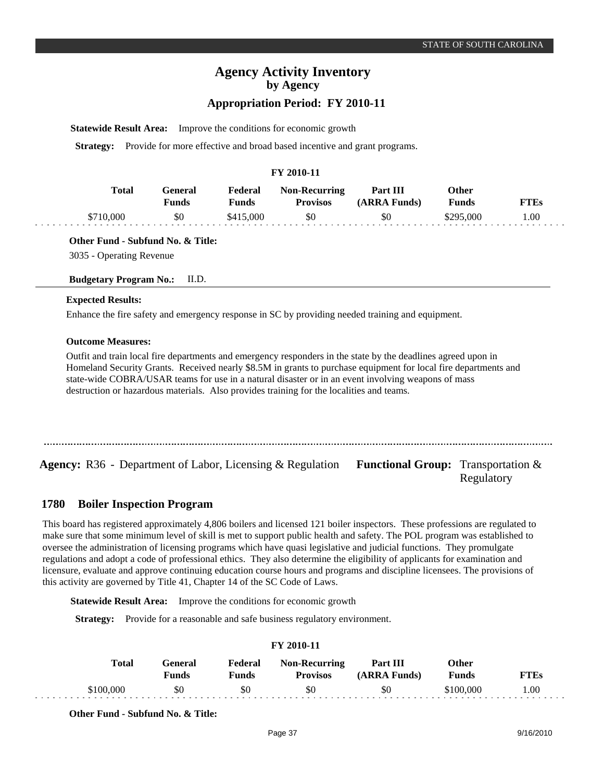Regulatory

# **Agency Activity Inventory by Agency**

## **Appropriation Period: FY 2010-11**

**Statewide Result Area:** Improve the conditions for economic growth

**Strategy:** Provide for more effective and broad based incentive and grant programs.

#### **FY 2010-11**

| Total     | Feneral<br>Funds | Federal<br>$\mathbf{Funds}$ | <b>Non-Recurring</b><br><b>Provisos</b> | <b>Part III</b><br>(ARRA Funds) | Other<br>Funds | FTEs |
|-----------|------------------|-----------------------------|-----------------------------------------|---------------------------------|----------------|------|
| \$710,000 | \$0              | \$415,000                   | \$0                                     | \$0                             | \$295,000      | 0.00 |

**Other Fund - Subfund No. & Title:** 3035 - Operating Revenue

#### **Budgetary Program No.:** II.D.

#### **Expected Results:**

Enhance the fire safety and emergency response in SC by providing needed training and equipment.

#### **Outcome Measures:**

Outfit and train local fire departments and emergency responders in the state by the deadlines agreed upon in Homeland Security Grants. Received nearly \$8.5M in grants to purchase equipment for local fire departments and state-wide COBRA/USAR teams for use in a natural disaster or in an event involving weapons of mass destruction or hazardous materials. Also provides training for the localities and teams.

**Agency:** R36 - Department of Labor, Licensing & Regulation Functional Group: Transportation &

#### **Boiler Inspection Program 1780**

This board has registered approximately 4,806 boilers and licensed 121 boiler inspectors. These professions are regulated to make sure that some minimum level of skill is met to support public health and safety. The POL program was established to oversee the administration of licensing programs which have quasi legislative and judicial functions. They promulgate regulations and adopt a code of professional ethics. They also determine the eligibility of applicants for examination and licensure, evaluate and approve continuing education course hours and programs and discipline licensees. The provisions of this activity are governed by Title 41, Chapter 14 of the SC Code of Laws.

**Statewide Result Area:** Improve the conditions for economic growth

**Strategy:** Provide for a reasonable and safe business regulatory environment.

| Total     | <b>General</b><br><b>Funds</b> | Federal<br><b>Funds</b> | <b>Non-Recurring</b><br><b>Provisos</b> | Part III<br>(ARRA Funds) | Other<br><b>Funds</b> | <b>FTEs</b> |
|-----------|--------------------------------|-------------------------|-----------------------------------------|--------------------------|-----------------------|-------------|
| \$100,000 | \$0                            | \$0                     | \$0                                     | \$0                      | \$100,000             | 1.00        |

**FY 2010-11**

**Other Fund - Subfund No. & Title:**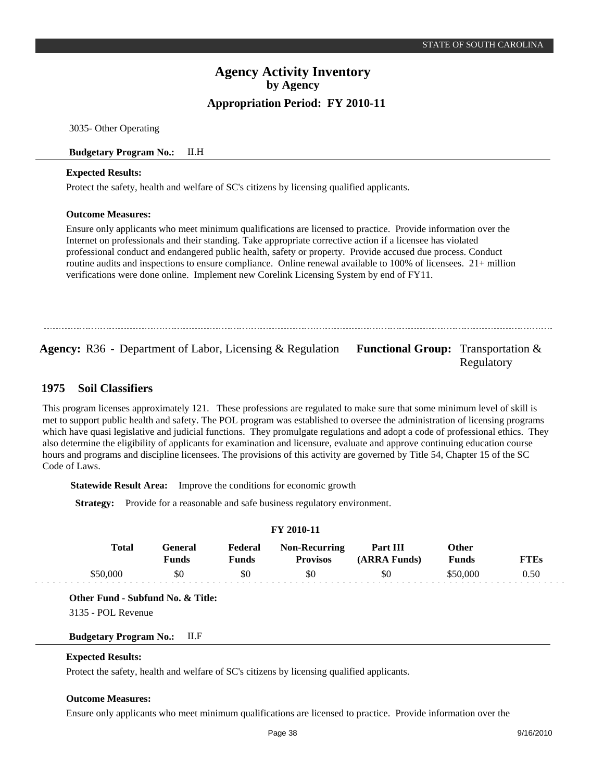3035- Other Operating

### **Budgetary Program No.:** II.H

#### **Expected Results:**

Protect the safety, health and welfare of SC's citizens by licensing qualified applicants.

#### **Outcome Measures:**

Ensure only applicants who meet minimum qualifications are licensed to practice. Provide information over the Internet on professionals and their standing. Take appropriate corrective action if a licensee has violated professional conduct and endangered public health, safety or property. Provide accused due process. Conduct routine audits and inspections to ensure compliance. Online renewal available to 100% of licensees. 21+ million verifications were done online. Implement new Corelink Licensing System by end of FY11.

**Agency:** R36 - Department of Labor, Licensing & Regulation Functional Group: Transportation & Regulatory

#### **Soil Classifiers 1975**

This program licenses approximately 121. These professions are regulated to make sure that some minimum level of skill is met to support public health and safety. The POL program was established to oversee the administration of licensing programs which have quasi legislative and judicial functions. They promulgate regulations and adopt a code of professional ethics. They also determine the eligibility of applicants for examination and licensure, evaluate and approve continuing education course hours and programs and discipline licensees. The provisions of this activity are governed by Title 54, Chapter 15 of the SC Code of Laws.

**Statewide Result Area:** Improve the conditions for economic growth

**Strategy:** Provide for a reasonable and safe business regulatory environment.

| Total    | Other        |              |                 |              |          |             |
|----------|--------------|--------------|-----------------|--------------|----------|-------------|
|          | <b>Funds</b> | <b>Funds</b> | <b>Provisos</b> | (ARRA Funds) | Funds    | <b>FTEs</b> |
| \$50,000 | \$0          | \$0          | \$0             | \$0          | \$50,000 | 0.50        |
|          |              |              |                 |              |          |             |

**FY 2010-11**

**Other Fund - Subfund No. & Title:**

3135 - POL Revenue

#### **Budgetary Program No.:** II.F

### **Expected Results:**

Protect the safety, health and welfare of SC's citizens by licensing qualified applicants.

#### **Outcome Measures:**

Ensure only applicants who meet minimum qualifications are licensed to practice. Provide information over the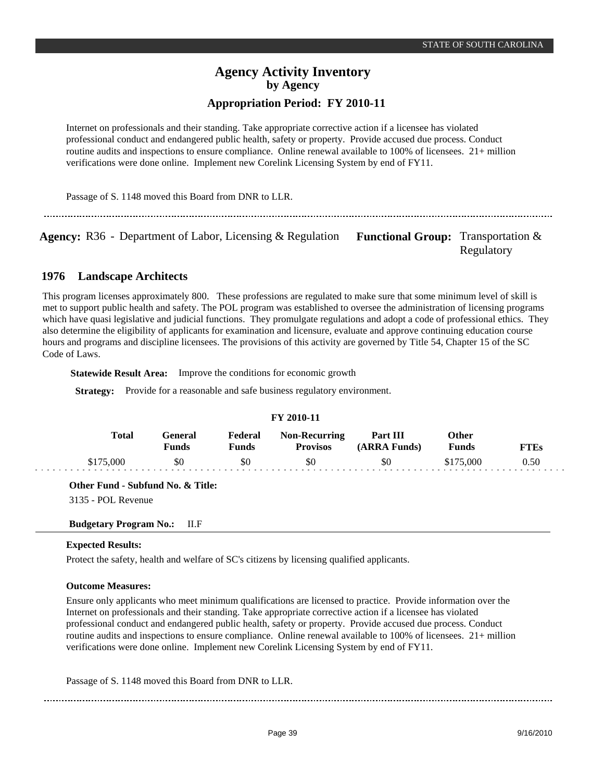Internet on professionals and their standing. Take appropriate corrective action if a licensee has violated professional conduct and endangered public health, safety or property. Provide accused due process. Conduct routine audits and inspections to ensure compliance. Online renewal available to 100% of licensees. 21+ million verifications were done online. Implement new Corelink Licensing System by end of FY11.

Passage of S. 1148 moved this Board from DNR to LLR.

Agency: R36 - Department of Labor, Licensing & Regulation Functional Group: Transportation &

Regulatory

#### **Landscape Architects 1976**

This program licenses approximately 800. These professions are regulated to make sure that some minimum level of skill is met to support public health and safety. The POL program was established to oversee the administration of licensing programs which have quasi legislative and judicial functions. They promulgate regulations and adopt a code of professional ethics. They also determine the eligibility of applicants for examination and licensure, evaluate and approve continuing education course hours and programs and discipline licensees. The provisions of this activity are governed by Title 54, Chapter 15 of the SC Code of Laws.

**Statewide Result Area:** Improve the conditions for economic growth

**Strategy:** Provide for a reasonable and safe business regulatory environment.

| FY 2010-11   |                  |                  |                                         |                          |                       |             |  |  |
|--------------|------------------|------------------|-----------------------------------------|--------------------------|-----------------------|-------------|--|--|
| <b>Total</b> | General<br>Funds | Federal<br>Funds | <b>Non-Recurring</b><br><b>Provisos</b> | Part III<br>(ARRA Funds) | Other<br><b>Funds</b> | <b>FTEs</b> |  |  |
| \$175,000    | \$0              | \$0              | \$0                                     | \$0                      | \$175,000             | 0.50        |  |  |

**Other Fund - Subfund No. & Title:**

3135 - POL Revenue

**Budgetary Program No.:** II.F

### **Expected Results:**

Protect the safety, health and welfare of SC's citizens by licensing qualified applicants.

### **Outcome Measures:**

Ensure only applicants who meet minimum qualifications are licensed to practice. Provide information over the Internet on professionals and their standing. Take appropriate corrective action if a licensee has violated professional conduct and endangered public health, safety or property. Provide accused due process. Conduct routine audits and inspections to ensure compliance. Online renewal available to 100% of licensees. 21+ million verifications were done online. Implement new Corelink Licensing System by end of FY11.

Passage of S. 1148 moved this Board from DNR to LLR.